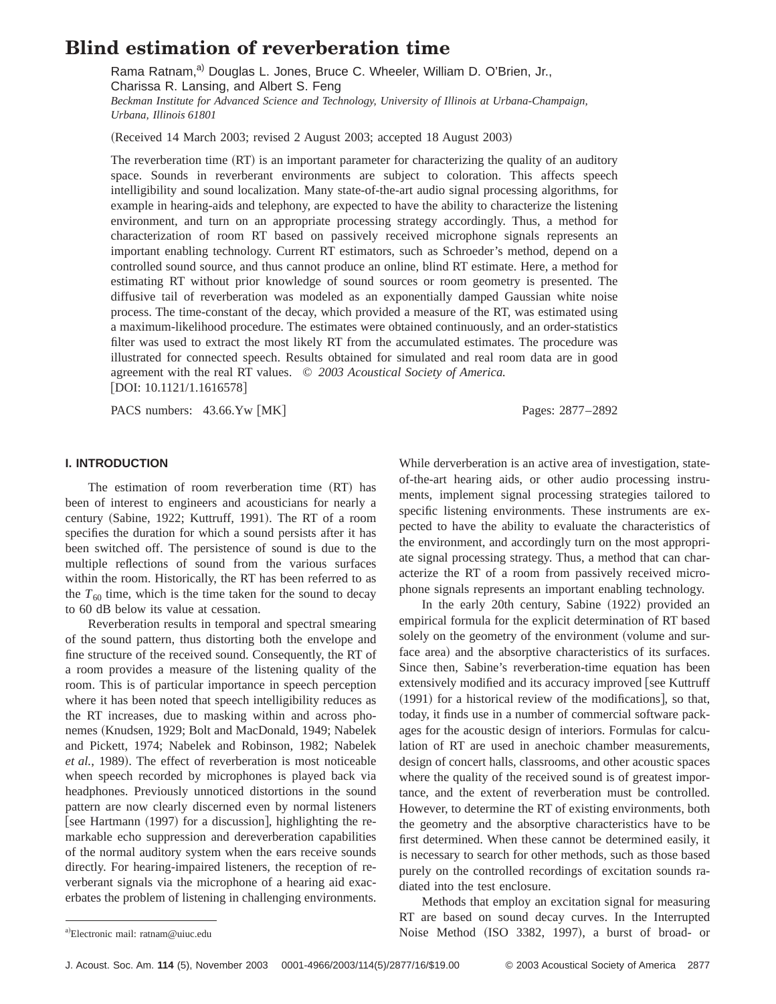# **Blind estimation of reverberation time**

Rama Ratnam,<sup>a)</sup> Douglas L. Jones, Bruce C. Wheeler, William D. O'Brien, Jr., Charissa R. Lansing, and Albert S. Feng *Beckman Institute for Advanced Science and Technology, University of Illinois at Urbana-Champaign, Urbana, Illinois 61801*

(Received 14 March 2003; revised 2 August 2003; accepted 18 August 2003)

The reverberation time  $(RT)$  is an important parameter for characterizing the quality of an auditory space. Sounds in reverberant environments are subject to coloration. This affects speech intelligibility and sound localization. Many state-of-the-art audio signal processing algorithms, for example in hearing-aids and telephony, are expected to have the ability to characterize the listening environment, and turn on an appropriate processing strategy accordingly. Thus, a method for characterization of room RT based on passively received microphone signals represents an important enabling technology. Current RT estimators, such as Schroeder's method, depend on a controlled sound source, and thus cannot produce an online, blind RT estimate. Here, a method for estimating RT without prior knowledge of sound sources or room geometry is presented. The diffusive tail of reverberation was modeled as an exponentially damped Gaussian white noise process. The time-constant of the decay, which provided a measure of the RT, was estimated using a maximum-likelihood procedure. The estimates were obtained continuously, and an order-statistics filter was used to extract the most likely RT from the accumulated estimates. The procedure was illustrated for connected speech. Results obtained for simulated and real room data are in good agreement with the real RT values. © *2003 Acoustical Society of America.*  $[DOI: 10.1121/1.1616578]$ 

PACS numbers: 43.66.Yw [MK] Pages: 2877–2892

## **I. INTRODUCTION**

The estimation of room reverberation time (RT) has been of interest to engineers and acousticians for nearly a century (Sabine, 1922; Kuttruff, 1991). The RT of a room specifies the duration for which a sound persists after it has been switched off. The persistence of sound is due to the multiple reflections of sound from the various surfaces within the room. Historically, the RT has been referred to as the  $T_{60}$  time, which is the time taken for the sound to decay to 60 dB below its value at cessation.

Reverberation results in temporal and spectral smearing of the sound pattern, thus distorting both the envelope and fine structure of the received sound. Consequently, the RT of a room provides a measure of the listening quality of the room. This is of particular importance in speech perception where it has been noted that speech intelligibility reduces as the RT increases, due to masking within and across phonemes (Knudsen, 1929; Bolt and MacDonald, 1949; Nabelek and Pickett, 1974; Nabelek and Robinson, 1982; Nabelek *et al.*, 1989). The effect of reverberation is most noticeable when speech recorded by microphones is played back via headphones. Previously unnoticed distortions in the sound pattern are now clearly discerned even by normal listeners [see Hartmann (1997) for a discussion], highlighting the remarkable echo suppression and dereverberation capabilities of the normal auditory system when the ears receive sounds directly. For hearing-impaired listeners, the reception of reverberant signals via the microphone of a hearing aid exacerbates the problem of listening in challenging environments. While derverberation is an active area of investigation, stateof-the-art hearing aids, or other audio processing instruments, implement signal processing strategies tailored to specific listening environments. These instruments are expected to have the ability to evaluate the characteristics of the environment, and accordingly turn on the most appropriate signal processing strategy. Thus, a method that can characterize the RT of a room from passively received microphone signals represents an important enabling technology.

In the early 20th century, Sabine  $(1922)$  provided an empirical formula for the explicit determination of RT based solely on the geometry of the environment (volume and surface area) and the absorptive characteristics of its surfaces. Since then, Sabine's reverberation-time equation has been extensively modified and its accuracy improved [see Kuttruff  $(1991)$  for a historical review of the modifications, so that, today, it finds use in a number of commercial software packages for the acoustic design of interiors. Formulas for calculation of RT are used in anechoic chamber measurements, design of concert halls, classrooms, and other acoustic spaces where the quality of the received sound is of greatest importance, and the extent of reverberation must be controlled. However, to determine the RT of existing environments, both the geometry and the absorptive characteristics have to be first determined. When these cannot be determined easily, it is necessary to search for other methods, such as those based purely on the controlled recordings of excitation sounds radiated into the test enclosure.

Methods that employ an excitation signal for measuring RT are based on sound decay curves. In the Interrupted Noise Method (ISO 3382, 1997), a burst of broad- or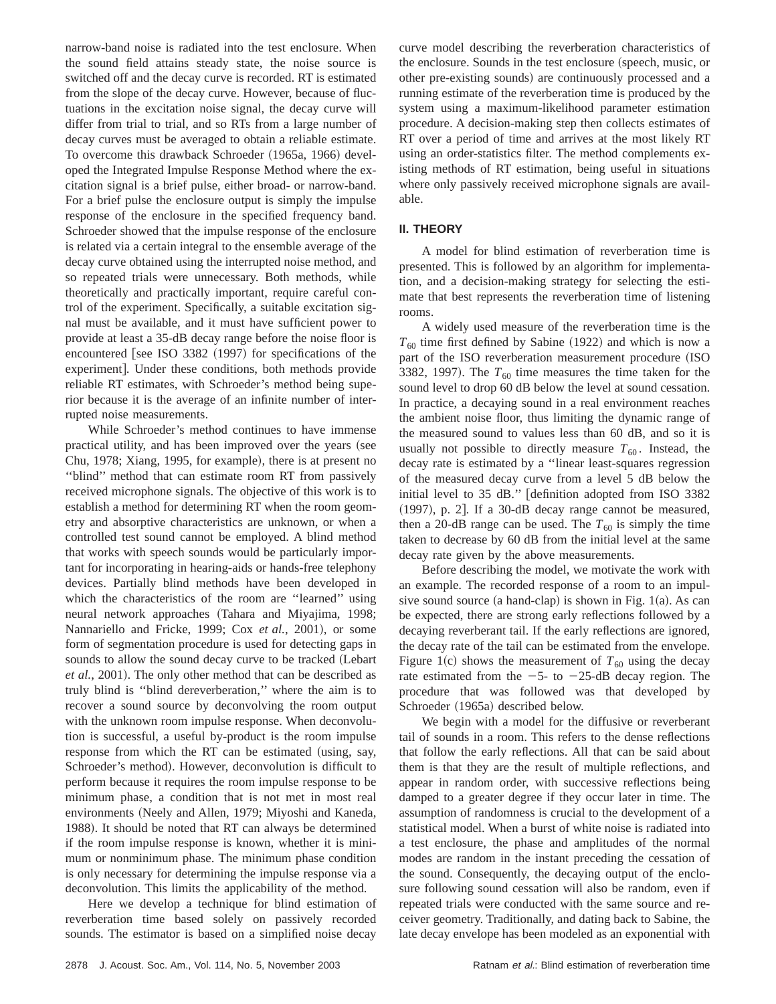narrow-band noise is radiated into the test enclosure. When the sound field attains steady state, the noise source is switched off and the decay curve is recorded. RT is estimated from the slope of the decay curve. However, because of fluctuations in the excitation noise signal, the decay curve will differ from trial to trial, and so RTs from a large number of decay curves must be averaged to obtain a reliable estimate. To overcome this drawback Schroeder (1965a, 1966) developed the Integrated Impulse Response Method where the excitation signal is a brief pulse, either broad- or narrow-band. For a brief pulse the enclosure output is simply the impulse response of the enclosure in the specified frequency band. Schroeder showed that the impulse response of the enclosure is related via a certain integral to the ensemble average of the decay curve obtained using the interrupted noise method, and so repeated trials were unnecessary. Both methods, while theoretically and practically important, require careful control of the experiment. Specifically, a suitable excitation signal must be available, and it must have sufficient power to provide at least a 35-dB decay range before the noise floor is encountered [see ISO 3382  $(1997)$  for specifications of the experiment]. Under these conditions, both methods provide reliable RT estimates, with Schroeder's method being superior because it is the average of an infinite number of interrupted noise measurements.

While Schroeder's method continues to have immense practical utility, and has been improved over the years (see Chu, 1978; Xiang, 1995, for example), there is at present no ''blind'' method that can estimate room RT from passively received microphone signals. The objective of this work is to establish a method for determining RT when the room geometry and absorptive characteristics are unknown, or when a controlled test sound cannot be employed. A blind method that works with speech sounds would be particularly important for incorporating in hearing-aids or hands-free telephony devices. Partially blind methods have been developed in which the characteristics of the room are ''learned'' using neural network approaches (Tahara and Miyajima, 1998; Nannariello and Fricke, 1999; Cox et al., 2001), or some form of segmentation procedure is used for detecting gaps in sounds to allow the sound decay curve to be tracked (Lebart *et al.*, 2001). The only other method that can be described as truly blind is ''blind dereverberation,'' where the aim is to recover a sound source by deconvolving the room output with the unknown room impulse response. When deconvolution is successful, a useful by-product is the room impulse response from which the RT can be estimated (using, say, Schroeder's method). However, deconvolution is difficult to perform because it requires the room impulse response to be minimum phase, a condition that is not met in most real environments (Neely and Allen, 1979; Miyoshi and Kaneda, 1988). It should be noted that RT can always be determined if the room impulse response is known, whether it is minimum or nonminimum phase. The minimum phase condition is only necessary for determining the impulse response via a deconvolution. This limits the applicability of the method.

Here we develop a technique for blind estimation of reverberation time based solely on passively recorded sounds. The estimator is based on a simplified noise decay

curve model describing the reverberation characteristics of the enclosure. Sounds in the test enclosure (speech, music, or other pre-existing sounds) are continuously processed and a running estimate of the reverberation time is produced by the system using a maximum-likelihood parameter estimation procedure. A decision-making step then collects estimates of RT over a period of time and arrives at the most likely RT using an order-statistics filter. The method complements existing methods of RT estimation, being useful in situations where only passively received microphone signals are available.

## **II. THEORY**

A model for blind estimation of reverberation time is presented. This is followed by an algorithm for implementation, and a decision-making strategy for selecting the estimate that best represents the reverberation time of listening rooms.

A widely used measure of the reverberation time is the  $T_{60}$  time first defined by Sabine (1922) and which is now a part of the ISO reverberation measurement procedure (ISO 3382, 1997). The  $T_{60}$  time measures the time taken for the sound level to drop 60 dB below the level at sound cessation. In practice, a decaying sound in a real environment reaches the ambient noise floor, thus limiting the dynamic range of the measured sound to values less than 60 dB, and so it is usually not possible to directly measure  $T_{60}$ . Instead, the decay rate is estimated by a ''linear least-squares regression of the measured decay curve from a level 5 dB below the initial level to 35 dB." [definition adopted from ISO 3382  $(1997)$ , p. 2]. If a 30-dB decay range cannot be measured, then a 20-dB range can be used. The  $T_{60}$  is simply the time taken to decrease by 60 dB from the initial level at the same decay rate given by the above measurements.

Before describing the model, we motivate the work with an example. The recorded response of a room to an impulsive sound source (a hand-clap) is shown in Fig. 1(a). As can be expected, there are strong early reflections followed by a decaying reverberant tail. If the early reflections are ignored, the decay rate of the tail can be estimated from the envelope. Figure 1(c) shows the measurement of  $T_{60}$  using the decay rate estimated from the  $-5$ - to  $-25$ -dB decay region. The procedure that was followed was that developed by Schroeder (1965a) described below.

We begin with a model for the diffusive or reverberant tail of sounds in a room. This refers to the dense reflections that follow the early reflections. All that can be said about them is that they are the result of multiple reflections, and appear in random order, with successive reflections being damped to a greater degree if they occur later in time. The assumption of randomness is crucial to the development of a statistical model. When a burst of white noise is radiated into a test enclosure, the phase and amplitudes of the normal modes are random in the instant preceding the cessation of the sound. Consequently, the decaying output of the enclosure following sound cessation will also be random, even if repeated trials were conducted with the same source and receiver geometry. Traditionally, and dating back to Sabine, the late decay envelope has been modeled as an exponential with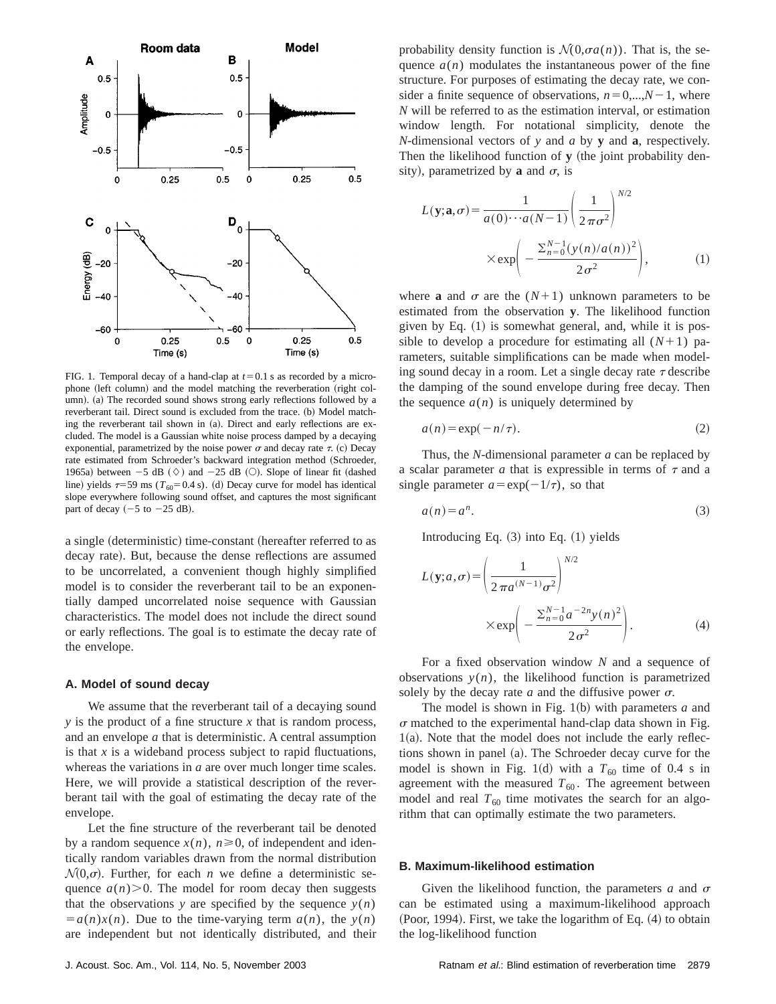

FIG. 1. Temporal decay of a hand-clap at  $t=0.1$  s as recorded by a microphone (left column) and the model matching the reverberation (right column). (a) The recorded sound shows strong early reflections followed by a reverberant tail. Direct sound is excluded from the trace. (b) Model matching the reverberant tail shown in (a). Direct and early reflections are excluded. The model is a Gaussian white noise process damped by a decaying exponential, parametrized by the noise power  $\sigma$  and decay rate  $\tau$ . (c) Decay rate estimated from Schroeder's backward integration method (Schroeder, 1965a) between  $-5$  dB  $(\Diamond)$  and  $-25$  dB  $(\bigcirc)$ . Slope of linear fit (dashed line) yields  $\tau=59$  ms ( $T_{60}=0.4$  s). (d) Decay curve for model has identical slope everywhere following sound offset, and captures the most significant part of decay  $(-5$  to  $-25$  dB).

a single (deterministic) time-constant (hereafter referred to as decay rate). But, because the dense reflections are assumed to be uncorrelated, a convenient though highly simplified model is to consider the reverberant tail to be an exponentially damped uncorrelated noise sequence with Gaussian characteristics. The model does not include the direct sound or early reflections. The goal is to estimate the decay rate of the envelope.

## **A. Model of sound decay**

We assume that the reverberant tail of a decaying sound *y* is the product of a fine structure *x* that is random process, and an envelope *a* that is deterministic. A central assumption is that *x* is a wideband process subject to rapid fluctuations, whereas the variations in *a* are over much longer time scales. Here, we will provide a statistical description of the reverberant tail with the goal of estimating the decay rate of the envelope.

Let the fine structure of the reverberant tail be denoted by a random sequence  $x(n)$ ,  $n \ge 0$ , of independent and identically random variables drawn from the normal distribution  $\mathcal{N}(0,\sigma)$ . Further, for each *n* we define a deterministic sequence  $a(n)$ . The model for room decay then suggests that the observations *y* are specified by the sequence  $y(n)$  $\overline{a} = a(n)x(n)$ . Due to the time-varying term  $a(n)$ , the  $y(n)$ are independent but not identically distributed, and their

$$
L(\mathbf{y}; \mathbf{a}, \sigma) = \frac{1}{a(0) \cdots a(N-1)} \left(\frac{1}{2\pi\sigma^2}\right)^{N/2}
$$

$$
\times \exp\left(-\frac{\sum_{n=0}^{N-1} (y(n)/a(n))^2}{2\sigma^2}\right), \tag{1}
$$

where **a** and  $\sigma$  are the  $(N+1)$  unknown parameters to be estimated from the observation **y**. The likelihood function given by Eq.  $(1)$  is somewhat general, and, while it is possible to develop a procedure for estimating all  $(N+1)$  parameters, suitable simplifications can be made when modeling sound decay in a room. Let a single decay rate  $\tau$  describe the damping of the sound envelope during free decay. Then the sequence  $a(n)$  is uniquely determined by

$$
a(n) = \exp(-n/\tau). \tag{2}
$$

Thus, the *N*-dimensional parameter *a* can be replaced by a scalar parameter  $a$  that is expressible in terms of  $\tau$  and a single parameter  $a = \exp(-1/\tau)$ , so that

$$
a(n) = a^n. \tag{3}
$$

Introducing Eq.  $(3)$  into Eq.  $(1)$  yields

$$
L(\mathbf{y}; a, \sigma) = \left(\frac{1}{2\pi a^{(N-1)}\sigma^2}\right)^{N/2}
$$

$$
\times \exp\left(-\frac{\sum_{n=0}^{N-1} a^{-2n} y(n)^2}{2\sigma^2}\right).
$$
 (4)

For a fixed observation window *N* and a sequence of observations  $y(n)$ , the likelihood function is parametrized solely by the decay rate  $a$  and the diffusive power  $\sigma$ .

The model is shown in Fig.  $1(b)$  with parameters *a* and  $\sigma$  matched to the experimental hand-clap data shown in Fig.  $1(a)$ . Note that the model does not include the early reflections shown in panel (a). The Schroeder decay curve for the model is shown in Fig. 1(d) with a  $T_{60}$  time of 0.4 s in agreement with the measured  $T_{60}$ . The agreement between model and real  $T_{60}$  time motivates the search for an algorithm that can optimally estimate the two parameters.

#### **B. Maximum-likelihood estimation**

Given the likelihood function, the parameters  $a$  and  $\sigma$ can be estimated using a maximum-likelihood approach  $( Poor, 1994)$ . First, we take the logarithm of Eq.  $(4)$  to obtain the log-likelihood function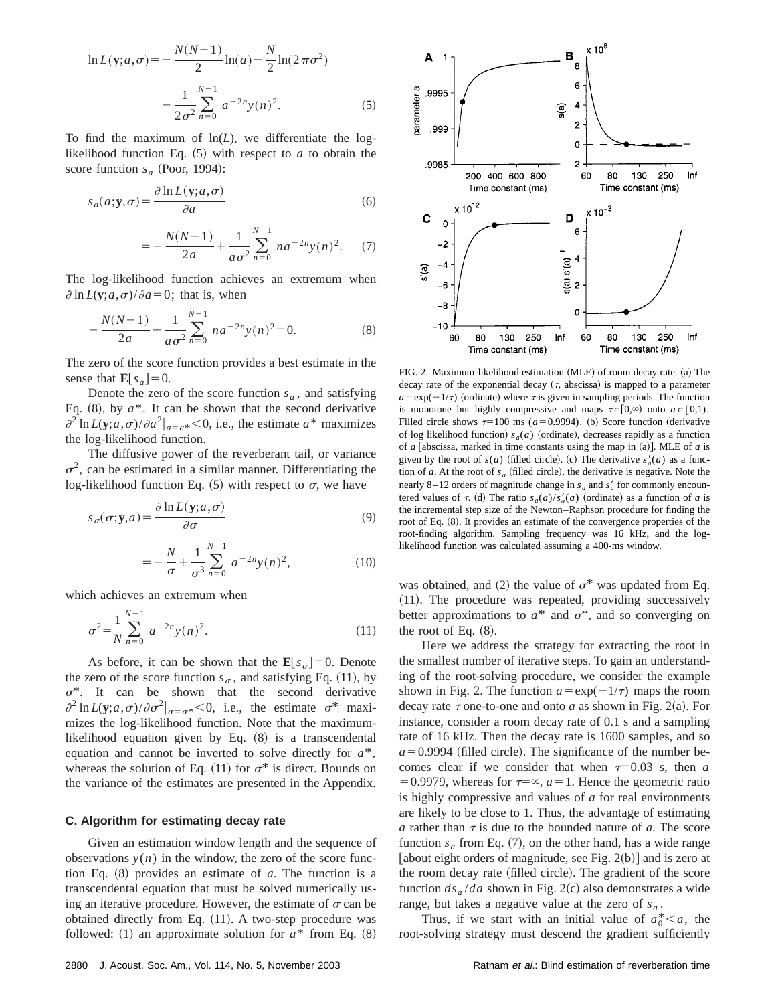$$
\ln L(\mathbf{y}; a, \sigma) = -\frac{N(N-1)}{2} \ln(a) - \frac{N}{2} \ln(2\pi\sigma^2)
$$

$$
-\frac{1}{2\sigma^2} \sum_{n=0}^{N-1} a^{-2n} y(n)^2.
$$
 (5)

To find the maximum of  $ln(L)$ , we differentiate the loglikelihood function Eq.  $(5)$  with respect to *a* to obtain the score function  $s_a$  (Poor, 1994):

$$
s_a(a; \mathbf{y}, \sigma) = \frac{\partial \ln L(\mathbf{y}; a, \sigma)}{\partial a}
$$
 (6)

$$
=-\frac{N(N-1)}{2a}+\frac{1}{a\sigma^2}\sum_{n=0}^{N-1}na^{-2n}y(n)^2.
$$
 (7)

The log-likelihood function achieves an extremum when  $\partial \ln L(\mathbf{v}; a, \sigma)/\partial a = 0$ ; that is, when

$$
-\frac{N(N-1)}{2a} + \frac{1}{a\sigma^2} \sum_{n=0}^{N-1} na^{-2n} y(n)^2 = 0.
$$
 (8)

The zero of the score function provides a best estimate in the sense that  $\mathbf{E}[s_a] = 0$ .

Denote the zero of the score function  $s_a$ , and satisfying Eq.  $(8)$ , by  $a^*$ . It can be shown that the second derivative  $\partial^2 \ln L(\mathbf{y}; a, \sigma)/\partial a^2|_{a=a^*} < 0$ , i.e., the estimate  $a^*$  maximizes the log-likelihood function.

The diffusive power of the reverberant tail, or variance  $\sigma^2$ , can be estimated in a similar manner. Differentiating the log-likelihood function Eq.  $(5)$  with respect to  $\sigma$ , we have

$$
s_{\sigma}(\sigma; \mathbf{y}, a) = \frac{\partial \ln L(\mathbf{y}; a, \sigma)}{\partial \sigma} \tag{9}
$$

$$
=-\frac{N}{\sigma}+\frac{1}{\sigma^3}\sum_{n=0}^{N-1}a^{-2n}y(n)^2,
$$
 (10)

which achieves an extremum when

$$
\sigma^2 = \frac{1}{N} \sum_{n=0}^{N-1} a^{-2n} y(n)^2.
$$
 (11)

As before, it can be shown that the  $\mathbf{E}[s_{\sigma}]=0$ . Denote the zero of the score function  $s_{\sigma}$ , and satisfying Eq. (11), by  $\sigma^*$ . It can be shown that the second derivative  $\partial^2 \ln L(\mathbf{y}; a, \sigma) / \partial \sigma^2 \big|_{\sigma = \sigma^*} < 0$ , i.e., the estimate  $\sigma^*$  maximizes the log-likelihood function. Note that the maximumlikelihood equation given by Eq.  $(8)$  is a transcendental equation and cannot be inverted to solve directly for *a*\*, whereas the solution of Eq. (11) for  $\sigma^*$  is direct. Bounds on the variance of the estimates are presented in the Appendix.

## **C. Algorithm for estimating decay rate**

Given an estimation window length and the sequence of observations  $y(n)$  in the window, the zero of the score function Eq.  $(8)$  provides an estimate of  $a$ . The function is a transcendental equation that must be solved numerically using an iterative procedure. However, the estimate of  $\sigma$  can be obtained directly from Eq.  $(11)$ . A two-step procedure was followed: (1) an approximate solution for  $a^*$  from Eq.  $(8)$ 



FIG. 2. Maximum-likelihood estimation  $(MLE)$  of room decay rate. (a) The decay rate of the exponential decay  $(\tau,$  abscissa) is mapped to a parameter  $a = \exp(-1/\tau)$  (ordinate) where  $\tau$  is given in sampling periods. The function is monotone but highly compressive and maps  $\tau \in [0,\infty)$  onto  $a \in [0,1)$ . Filled circle shows  $\tau=100$  ms ( $a=0.9994$ ). (b) Score function (derivative of log likelihood function)  $s_a(a)$  (ordinate), decreases rapidly as a function of  $a$  [abscissa, marked in time constants using the map in  $(a)$ ]. MLE of  $a$  is given by the root of  $s(a)$  (filled circle). (c) The derivative  $s'_a(a)$  as a function of *a*. At the root of  $s_a$  (filled circle), the derivative is negative. Note the nearly 8–12 orders of magnitude change in  $s_a$  and  $s'_a$  for commonly encountered values of  $\tau$ . (d) The ratio  $s_a(a)/s'_a(a)$  (ordinate) as a function of *a* is the incremental step size of the Newton–Raphson procedure for finding the root of Eq. (8). It provides an estimate of the convergence properties of the root-finding algorithm. Sampling frequency was 16 kHz, and the loglikelihood function was calculated assuming a 400-ms window.

was obtained, and (2) the value of  $\sigma^*$  was updated from Eq.  $(11)$ . The procedure was repeated, providing successively better approximations to  $a^*$  and  $\sigma^*$ , and so converging on the root of Eq.  $(8)$ .

Here we address the strategy for extracting the root in the smallest number of iterative steps. To gain an understanding of the root-solving procedure, we consider the example shown in Fig. 2. The function  $a = \exp(-1/\tau)$  maps the room decay rate  $\tau$  one-to-one and onto *a* as shown in Fig. 2(a). For instance, consider a room decay rate of 0.1 s and a sampling rate of 16 kHz. Then the decay rate is 1600 samples, and so  $a=0.9994$  (filled circle). The significance of the number becomes clear if we consider that when  $\tau=0.03$  s, then *a* =0.9979, whereas for  $\tau = \infty$ ,  $a = 1$ . Hence the geometric ratio is highly compressive and values of *a* for real environments are likely to be close to 1. Thus, the advantage of estimating *a* rather than  $\tau$  is due to the bounded nature of *a*. The score function  $s_a$  from Eq. (7), on the other hand, has a wide range [about eight orders of magnitude, see Fig.  $2(b)$ ] and is zero at the room decay rate (filled circle). The gradient of the score function  $ds_a / da$  shown in Fig. 2(c) also demonstrates a wide range, but takes a negative value at the zero of  $s_a$ .

Thus, if we start with an initial value of  $a_0^* < a$ , the root-solving strategy must descend the gradient sufficiently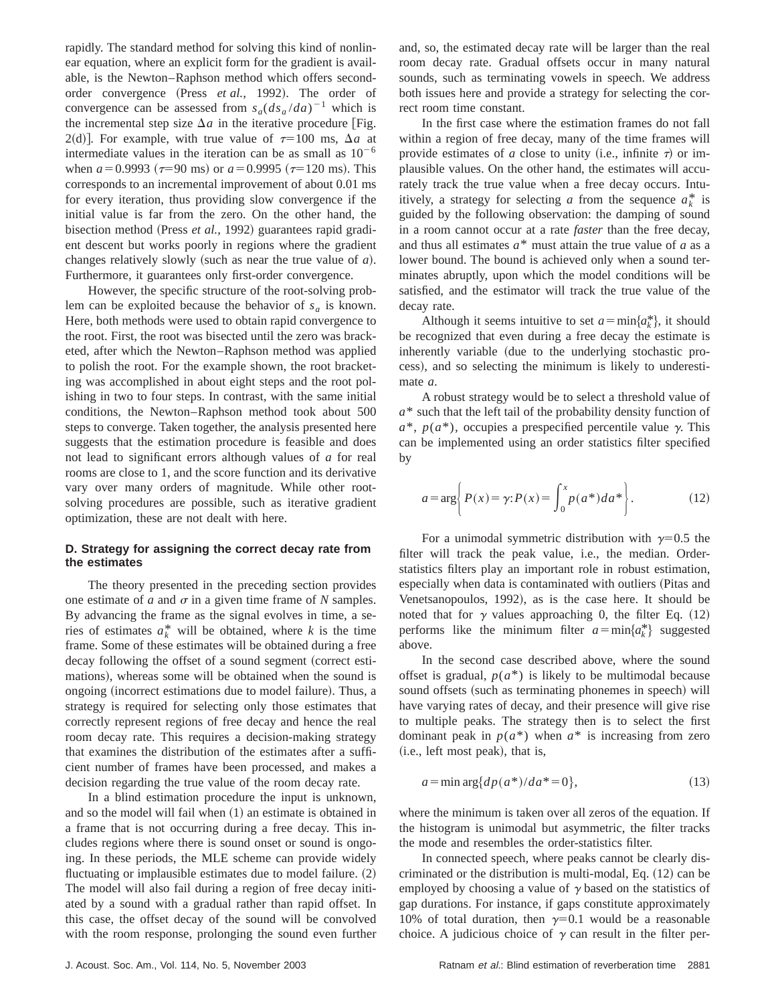rapidly. The standard method for solving this kind of nonlinear equation, where an explicit form for the gradient is available, is the Newton–Raphson method which offers secondorder convergence (Press *et al.*, 1992). The order of convergence can be assessed from  $s_a(ds_a/da)^{-1}$  which is the incremental step size  $\Delta a$  in the iterative procedure [Fig. 2(d)]. For example, with true value of  $\tau=100$  ms,  $\Delta a$  at intermediate values in the iteration can be as small as  $10^{-6}$ when  $a = 0.9993$  ( $\tau = 90$  ms) or  $a = 0.9995$  ( $\tau = 120$  ms). This corresponds to an incremental improvement of about 0.01 ms for every iteration, thus providing slow convergence if the initial value is far from the zero. On the other hand, the bisection method (Press *et al.*, 1992) guarantees rapid gradient descent but works poorly in regions where the gradient changes relatively slowly (such as near the true value of  $a$ ). Furthermore, it guarantees only first-order convergence.

However, the specific structure of the root-solving problem can be exploited because the behavior of  $s_a$  is known. Here, both methods were used to obtain rapid convergence to the root. First, the root was bisected until the zero was bracketed, after which the Newton–Raphson method was applied to polish the root. For the example shown, the root bracketing was accomplished in about eight steps and the root polishing in two to four steps. In contrast, with the same initial conditions, the Newton–Raphson method took about 500 steps to converge. Taken together, the analysis presented here suggests that the estimation procedure is feasible and does not lead to significant errors although values of *a* for real rooms are close to 1, and the score function and its derivative vary over many orders of magnitude. While other rootsolving procedures are possible, such as iterative gradient optimization, these are not dealt with here.

## **D. Strategy for assigning the correct decay rate from the estimates**

The theory presented in the preceding section provides one estimate of  $a$  and  $\sigma$  in a given time frame of  $N$  samples. By advancing the frame as the signal evolves in time, a series of estimates  $a_k^*$  will be obtained, where *k* is the time frame. Some of these estimates will be obtained during a free decay following the offset of a sound segment (correct estimations), whereas some will be obtained when the sound is ongoing (incorrect estimations due to model failure). Thus, a strategy is required for selecting only those estimates that correctly represent regions of free decay and hence the real room decay rate. This requires a decision-making strategy that examines the distribution of the estimates after a sufficient number of frames have been processed, and makes a decision regarding the true value of the room decay rate.

In a blind estimation procedure the input is unknown, and so the model will fail when  $(1)$  an estimate is obtained in a frame that is not occurring during a free decay. This includes regions where there is sound onset or sound is ongoing. In these periods, the MLE scheme can provide widely fluctuating or implausible estimates due to model failure.  $(2)$ The model will also fail during a region of free decay initiated by a sound with a gradual rather than rapid offset. In this case, the offset decay of the sound will be convolved with the room response, prolonging the sound even further and, so, the estimated decay rate will be larger than the real room decay rate. Gradual offsets occur in many natural sounds, such as terminating vowels in speech. We address both issues here and provide a strategy for selecting the correct room time constant.

In the first case where the estimation frames do not fall within a region of free decay, many of the time frames will provide estimates of *a* close to unity (i.e., infinite  $\tau$ ) or implausible values. On the other hand, the estimates will accurately track the true value when a free decay occurs. Intuitively, a strategy for selecting *a* from the sequence  $a_k^*$  is guided by the following observation: the damping of sound in a room cannot occur at a rate *faster* than the free decay, and thus all estimates *a*\* must attain the true value of *a* as a lower bound. The bound is achieved only when a sound terminates abruptly, upon which the model conditions will be satisfied, and the estimator will track the true value of the decay rate.

Although it seems intuitive to set  $a = \min\{a_k^*\}$ , it should be recognized that even during a free decay the estimate is inherently variable (due to the underlying stochastic process), and so selecting the minimum is likely to underestimate *a*.

A robust strategy would be to select a threshold value of *a*\* such that the left tail of the probability density function of  $a^*$ ,  $p(a^*)$ , occupies a prespecified percentile value  $\gamma$ . This can be implemented using an order statistics filter specified by

$$
a = \arg\left\{ P(x) = \gamma: P(x) = \int_0^x p(a^*) da^* \right\}.
$$
 (12)

For a unimodal symmetric distribution with  $\gamma=0.5$  the filter will track the peak value, i.e., the median. Orderstatistics filters play an important role in robust estimation, especially when data is contaminated with outliers (Pitas and Venetsanopoulos, 1992), as is the case here. It should be noted that for  $\gamma$  values approaching 0, the filter Eq. (12) performs like the minimum filter  $a = \min\{a_k^*\}$  suggested above.

In the second case described above, where the sound offset is gradual,  $p(a^*)$  is likely to be multimodal because sound offsets (such as terminating phonemes in speech) will have varying rates of decay, and their presence will give rise to multiple peaks. The strategy then is to select the first dominant peak in  $p(a^*)$  when  $a^*$  is increasing from zero  $(i.e., left most peak)$ , that is,

$$
a = \min \arg\{dp(a^*)/da^* = 0\},\tag{13}
$$

where the minimum is taken over all zeros of the equation. If the histogram is unimodal but asymmetric, the filter tracks the mode and resembles the order-statistics filter.

In connected speech, where peaks cannot be clearly discriminated or the distribution is multi-modal, Eq.  $(12)$  can be employed by choosing a value of  $\gamma$  based on the statistics of gap durations. For instance, if gaps constitute approximately 10% of total duration, then  $\gamma=0.1$  would be a reasonable choice. A judicious choice of  $\gamma$  can result in the filter per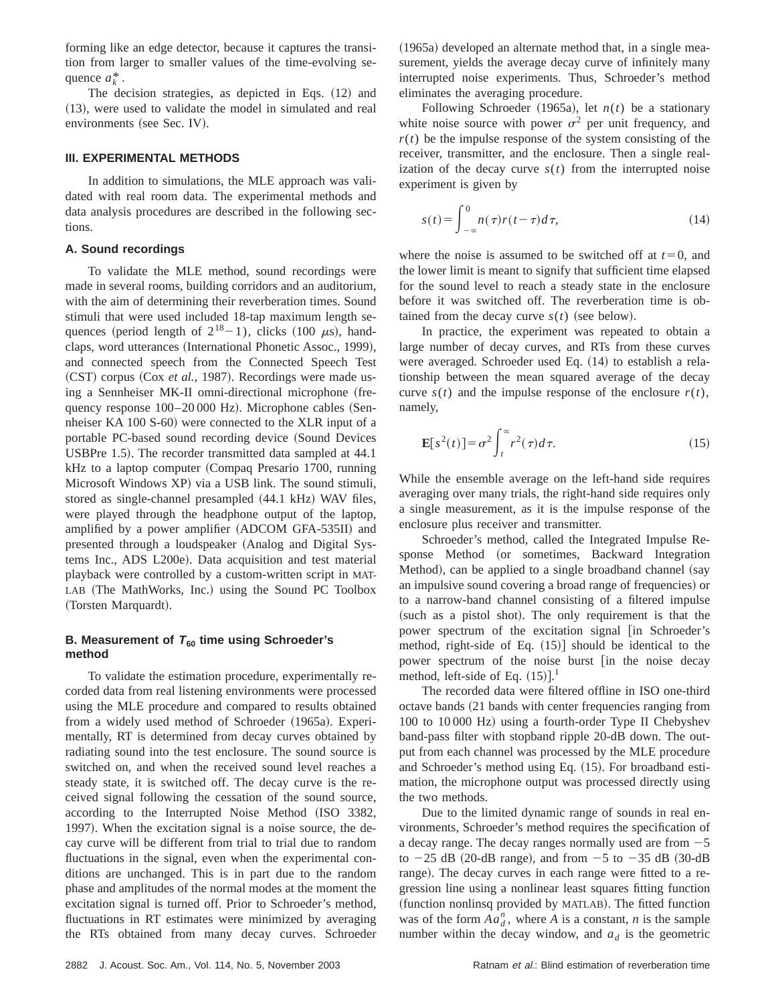forming like an edge detector, because it captures the transition from larger to smaller values of the time-evolving sequence  $a_k^*$ .

The decision strategies, as depicted in Eqs.  $(12)$  and  $(13)$ , were used to validate the model in simulated and real environments (see Sec. IV).

#### **III. EXPERIMENTAL METHODS**

In addition to simulations, the MLE approach was validated with real room data. The experimental methods and data analysis procedures are described in the following sections.

## **A. Sound recordings**

To validate the MLE method, sound recordings were made in several rooms, building corridors and an auditorium, with the aim of determining their reverberation times. Sound stimuli that were used included 18-tap maximum length sequences (period length of  $2^{18}-1$ ), clicks (100  $\mu$ s), handclaps, word utterances (International Phonetic Assoc., 1999), and connected speech from the Connected Speech Test (CST) corpus (Cox *et al.*, 1987). Recordings were made using a Sennheiser MK-II omni-directional microphone (frequency response  $100-20000$  Hz). Microphone cables (Sennheiser KA  $100 S<sub>-60</sub>$  were connected to the XLR input of a portable PC-based sound recording device (Sound Devices USBPre 1.5). The recorder transmitted data sampled at 44.1  $kHz$  to a laptop computer (Compaq Presario 1700, running Microsoft Windows XP) via a USB link. The sound stimuli, stored as single-channel presampled  $(44.1 \text{ kHz})$  WAV files, were played through the headphone output of the laptop, amplified by a power amplifier (ADCOM GFA-535II) and presented through a loudspeaker (Analog and Digital Systems Inc., ADS L200e). Data acquisition and test material playback were controlled by a custom-written script in MAT-LAB (The MathWorks, Inc.) using the Sound PC Toolbox (Torsten Marquardt).

## **B. Measurement of**  $T_{60}$  **time using Schroeder's method**

To validate the estimation procedure, experimentally recorded data from real listening environments were processed using the MLE procedure and compared to results obtained from a widely used method of Schroeder (1965a). Experimentally, RT is determined from decay curves obtained by radiating sound into the test enclosure. The sound source is switched on, and when the received sound level reaches a steady state, it is switched off. The decay curve is the received signal following the cessation of the sound source, according to the Interrupted Noise Method (ISO 3382, 1997). When the excitation signal is a noise source, the decay curve will be different from trial to trial due to random fluctuations in the signal, even when the experimental conditions are unchanged. This is in part due to the random phase and amplitudes of the normal modes at the moment the excitation signal is turned off. Prior to Schroeder's method, fluctuations in RT estimates were minimized by averaging the RTs obtained from many decay curves. Schroeder  $(1965a)$  developed an alternate method that, in a single measurement, yields the average decay curve of infinitely many interrupted noise experiments. Thus, Schroeder's method eliminates the averaging procedure.

Following Schroeder (1965a), let  $n(t)$  be a stationary white noise source with power  $\sigma^2$  per unit frequency, and  $r(t)$  be the impulse response of the system consisting of the receiver, transmitter, and the enclosure. Then a single realization of the decay curve  $s(t)$  from the interrupted noise experiment is given by

$$
s(t) = \int_{-\infty}^{0} n(\tau)r(t-\tau)d\tau,
$$
\n(14)

where the noise is assumed to be switched off at  $t=0$ , and the lower limit is meant to signify that sufficient time elapsed for the sound level to reach a steady state in the enclosure before it was switched off. The reverberation time is obtained from the decay curve  $s(t)$  (see below).

In practice, the experiment was repeated to obtain a large number of decay curves, and RTs from these curves were averaged. Schroeder used Eq. (14) to establish a relationship between the mean squared average of the decay curve  $s(t)$  and the impulse response of the enclosure  $r(t)$ , namely,

$$
\mathbf{E}[s^2(t)] = \sigma^2 \int_t^{\infty} r^2(\tau) d\tau.
$$
 (15)

While the ensemble average on the left-hand side requires averaging over many trials, the right-hand side requires only a single measurement, as it is the impulse response of the enclosure plus receiver and transmitter.

Schroeder's method, called the Integrated Impulse Response Method (or sometimes, Backward Integration Method), can be applied to a single broadband channel (say an impulsive sound covering a broad range of frequencies) or to a narrow-band channel consisting of a filtered impulse (such as a pistol shot). The only requirement is that the power spectrum of the excitation signal [in Schroeder's method, right-side of Eq.  $(15)$  should be identical to the power spectrum of the noise burst [in the noise decay method, left-side of Eq.  $(15)$ ].<sup>1</sup>

The recorded data were filtered offline in ISO one-third octave bands (21 bands with center frequencies ranging from 100 to 10 000 Hz) using a fourth-order Type II Chebyshev band-pass filter with stopband ripple 20-dB down. The output from each channel was processed by the MLE procedure and Schroeder's method using Eq. (15). For broadband estimation, the microphone output was processed directly using the two methods.

Due to the limited dynamic range of sounds in real environments, Schroeder's method requires the specification of a decay range. The decay ranges normally used are from  $-5$ to  $-25$  dB (20-dB range), and from  $-5$  to  $-35$  dB (30-dB range). The decay curves in each range were fitted to a regression line using a nonlinear least squares fitting function (function nonlinsq provided by MATLAB). The fitted function was of the form  $Aa_d^n$ , where *A* is a constant, *n* is the sample number within the decay window, and  $a_d$  is the geometric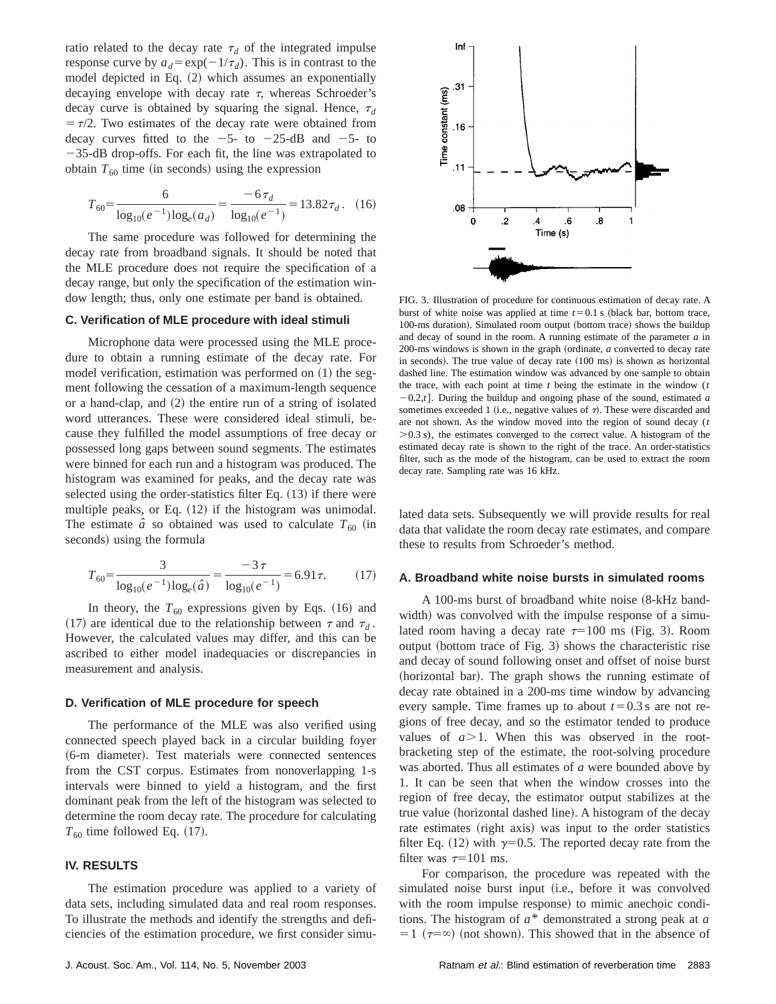ratio related to the decay rate  $\tau_d$  of the integrated impulse response curve by  $a_d = \exp(-1/\tau_d)$ . This is in contrast to the model depicted in Eq.  $(2)$  which assumes an exponentially decaying envelope with decay rate  $\tau$ , whereas Schroeder's decay curve is obtained by squaring the signal. Hence,  $\tau_d$  $= \tau/2$ . Two estimates of the decay rate were obtained from decay curves fitted to the  $-5$ - to  $-25$ -dB and  $-5$ - to  $-35$ -dB drop-offs. For each fit, the line was extrapolated to obtain  $T_{60}$  time (in seconds) using the expression

$$
T_{60} = \frac{6}{\log_{10}(e^{-1})\log_e(a_d)} = \frac{-6\,\tau_d}{\log_{10}(e^{-1})} = 13.82\,\tau_d\,. \tag{16}
$$

The same procedure was followed for determining the decay rate from broadband signals. It should be noted that the MLE procedure does not require the specification of a decay range, but only the specification of the estimation window length; thus, only one estimate per band is obtained.

## **C. Verification of MLE procedure with ideal stimuli**

Microphone data were processed using the MLE procedure to obtain a running estimate of the decay rate. For model verification, estimation was performed on  $(1)$  the segment following the cessation of a maximum-length sequence or a hand-clap, and  $(2)$  the entire run of a string of isolated word utterances. These were considered ideal stimuli, because they fulfilled the model assumptions of free decay or possessed long gaps between sound segments. The estimates were binned for each run and a histogram was produced. The histogram was examined for peaks, and the decay rate was selected using the order-statistics filter Eq.  $(13)$  if there were multiple peaks, or Eq.  $(12)$  if the histogram was unimodal. The estimate  $\hat{a}$  so obtained was used to calculate  $T_{60}$  (in seconds) using the formula

$$
T_{60} = \frac{3}{\log_{10}(e^{-1})\log_e(\hat{a})} = \frac{-3\,\tau}{\log_{10}(e^{-1})} = 6.91\,\tau. \tag{17}
$$

In theory, the  $T_{60}$  expressions given by Eqs. (16) and (17) are identical due to the relationship between  $\tau$  and  $\tau_d$ . However, the calculated values may differ, and this can be ascribed to either model inadequacies or discrepancies in measurement and analysis.

#### **D. Verification of MLE procedure for speech**

The performance of the MLE was also verified using connected speech played back in a circular building foyer (6-m diameter). Test materials were connected sentences from the CST corpus. Estimates from nonoverlapping 1-s intervals were binned to yield a histogram, and the first dominant peak from the left of the histogram was selected to determine the room decay rate. The procedure for calculating  $T_{60}$  time followed Eq.  $(17)$ .

## **IV. RESULTS**

The estimation procedure was applied to a variety of data sets, including simulated data and real room responses. To illustrate the methods and identify the strengths and deficiencies of the estimation procedure, we first consider simu-



FIG. 3. Illustration of procedure for continuous estimation of decay rate. A burst of white noise was applied at time  $t=0.1$  s (black bar, bottom trace, 100-ms duration). Simulated room output (bottom trace) shows the buildup and decay of sound in the room. A running estimate of the parameter *a* in 200-ms windows is shown in the graph (ordinate, *a* converted to decay rate in seconds). The true value of decay rate  $(100 \text{ ms})$  is shown as horizontal dashed line. The estimation window was advanced by one sample to obtain the trace, with each point at time *t* being the estimate in the window (*t*  $-0.2$ ,*t*]. During the buildup and ongoing phase of the sound, estimated *a* sometimes exceeded 1 (i.e., negative values of  $\tau$ ). These were discarded and are not shown. As the window moved into the region of sound decay (*t*  $> 0.3$  s), the estimates converged to the correct value. A histogram of the estimated decay rate is shown to the right of the trace. An order-statistics filter, such as the mode of the histogram, can be used to extract the room decay rate. Sampling rate was 16 kHz.

lated data sets. Subsequently we will provide results for real data that validate the room decay rate estimates, and compare these to results from Schroeder's method.

#### **A. Broadband white noise bursts in simulated rooms**

A 100-ms burst of broadband white noise  $(8-kHz)$  bandwidth) was convolved with the impulse response of a simulated room having a decay rate  $\tau=100$  ms (Fig. 3). Room output (bottom trace of Fig. 3) shows the characteristic rise and decay of sound following onset and offset of noise burst (horizontal bar). The graph shows the running estimate of decay rate obtained in a 200-ms time window by advancing every sample. Time frames up to about  $t=0.3$  s are not regions of free decay, and so the estimator tended to produce values of  $a > 1$ . When this was observed in the rootbracketing step of the estimate, the root-solving procedure was aborted. Thus all estimates of *a* were bounded above by 1. It can be seen that when the window crosses into the region of free decay, the estimator output stabilizes at the true value (horizontal dashed line). A histogram of the decay rate estimates (right axis) was input to the order statistics filter Eq. (12) with  $\gamma=0.5$ . The reported decay rate from the filter was  $\tau=101$  ms.

For comparison, the procedure was repeated with the simulated noise burst input (i.e., before it was convolved with the room impulse response) to mimic anechoic conditions. The histogram of *a*\* demonstrated a strong peak at *a*  $=1$  ( $\tau=\infty$ ) (not shown). This showed that in the absence of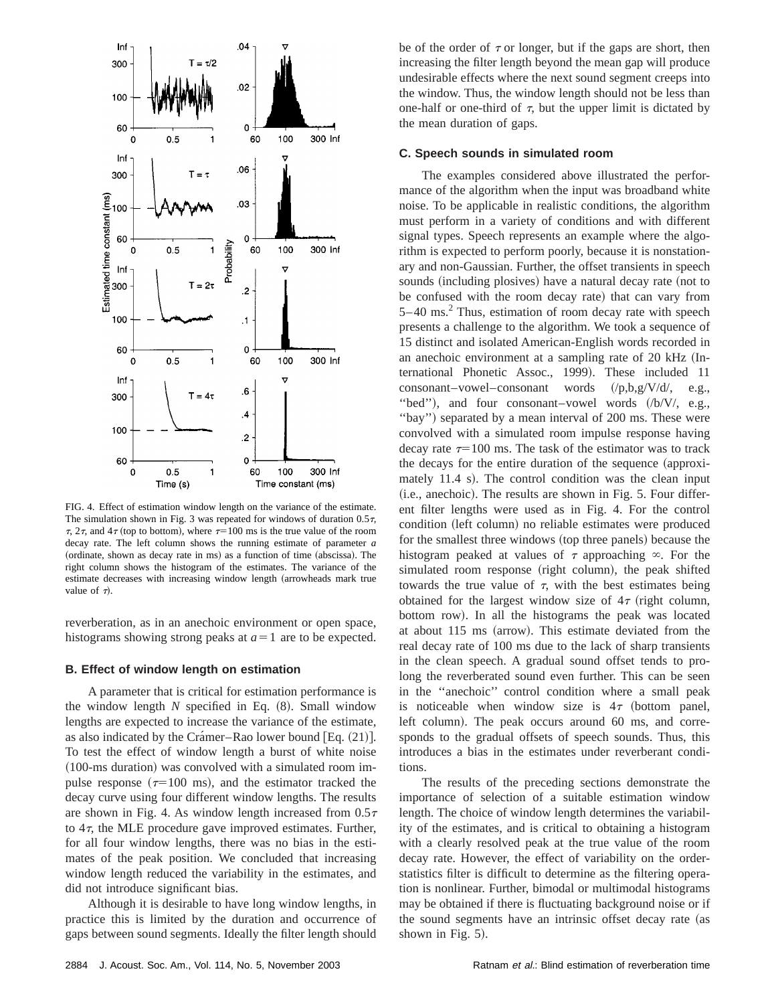

FIG. 4. Effect of estimation window length on the variance of the estimate. The simulation shown in Fig. 3 was repeated for windows of duration  $0.5\tau$ ,  $\tau$ , 2 $\tau$ , and 4 $\tau$  (top to bottom), where  $\tau=100$  ms is the true value of the room decay rate. The left column shows the running estimate of parameter *a* (ordinate, shown as decay rate in ms) as a function of time (abscissa). The right column shows the histogram of the estimates. The variance of the estimate decreases with increasing window length (arrowheads mark true value of  $\tau$ ).

reverberation, as in an anechoic environment or open space, histograms showing strong peaks at  $a=1$  are to be expected.

#### **B. Effect of window length on estimation**

A parameter that is critical for estimation performance is the window length  $N$  specified in Eq.  $(8)$ . Small window lengths are expected to increase the variance of the estimate, as also indicated by the Cramer–Rao lower bound  $[Eq. (21)].$ To test the effect of window length a burst of white noise  $(100\text{-ms duration})$  was convolved with a simulated room impulse response  $(\tau=100 \text{ ms})$ , and the estimator tracked the decay curve using four different window lengths. The results are shown in Fig. 4. As window length increased from  $0.5\tau$ to  $4\tau$ , the MLE procedure gave improved estimates. Further, for all four window lengths, there was no bias in the estimates of the peak position. We concluded that increasing window length reduced the variability in the estimates, and did not introduce significant bias.

Although it is desirable to have long window lengths, in practice this is limited by the duration and occurrence of gaps between sound segments. Ideally the filter length should be of the order of  $\tau$  or longer, but if the gaps are short, then increasing the filter length beyond the mean gap will produce undesirable effects where the next sound segment creeps into the window. Thus, the window length should not be less than one-half or one-third of  $\tau$ , but the upper limit is dictated by the mean duration of gaps.

## **C. Speech sounds in simulated room**

The examples considered above illustrated the performance of the algorithm when the input was broadband white noise. To be applicable in realistic conditions, the algorithm must perform in a variety of conditions and with different signal types. Speech represents an example where the algorithm is expected to perform poorly, because it is nonstationary and non-Gaussian. Further, the offset transients in speech sounds (including plosives) have a natural decay rate (not to be confused with the room decay rate) that can vary from  $5-40$  ms.<sup>2</sup> Thus, estimation of room decay rate with speech presents a challenge to the algorithm. We took a sequence of 15 distinct and isolated American-English words recorded in an anechoic environment at a sampling rate of 20 kHz (International Phonetic Assoc., 1999). These included 11 consonant–vowel–consonant words  $(\frac{p_1 b_2 v_1}{d}, e.g.,$ "bed"), and four consonant–vowel words (/b/V/, e.g., "bay") separated by a mean interval of 200 ms. These were convolved with a simulated room impulse response having decay rate  $\tau=100$  ms. The task of the estimator was to track the decays for the entire duration of the sequence (approximately  $11.4$  s). The control condition was the clean input  $(i.e., anechoic)$ . The results are shown in Fig. 5. Four different filter lengths were used as in Fig. 4. For the control condition (left column) no reliable estimates were produced for the smallest three windows (top three panels) because the histogram peaked at values of  $\tau$  approaching  $\infty$ . For the simulated room response (right column), the peak shifted towards the true value of  $\tau$ , with the best estimates being obtained for the largest window size of  $4\tau$  (right column, bottom row). In all the histograms the peak was located at about 115 ms (arrow). This estimate deviated from the real decay rate of 100 ms due to the lack of sharp transients in the clean speech. A gradual sound offset tends to prolong the reverberated sound even further. This can be seen in the ''anechoic'' control condition where a small peak is noticeable when window size is  $4\tau$  (bottom panel, left column). The peak occurs around 60 ms, and corresponds to the gradual offsets of speech sounds. Thus, this introduces a bias in the estimates under reverberant conditions.

The results of the preceding sections demonstrate the importance of selection of a suitable estimation window length. The choice of window length determines the variability of the estimates, and is critical to obtaining a histogram with a clearly resolved peak at the true value of the room decay rate. However, the effect of variability on the orderstatistics filter is difficult to determine as the filtering operation is nonlinear. Further, bimodal or multimodal histograms may be obtained if there is fluctuating background noise or if the sound segments have an intrinsic offset decay rate (as shown in Fig.  $5$ ).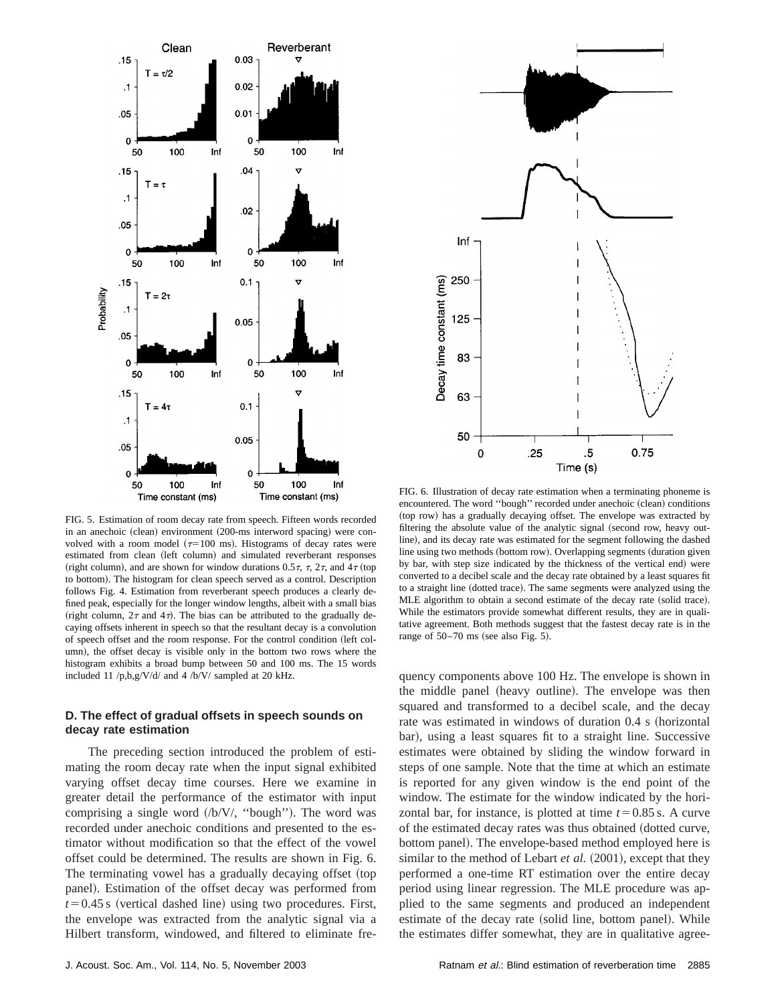

FIG. 5. Estimation of room decay rate from speech. Fifteen words recorded in an anechoic (clean) environment (200-ms interword spacing) were convolved with a room model ( $\tau$ =100 ms). Histograms of decay rates were estimated from clean (left column) and simulated reverberant responses (right column), and are shown for window durations 0.5 $\tau$ ,  $\tau$ , 2 $\tau$ , and 4 $\tau$  (top to bottom). The histogram for clean speech served as a control. Description follows Fig. 4. Estimation from reverberant speech produces a clearly defined peak, especially for the longer window lengths, albeit with a small bias (right column,  $2\tau$  and  $4\tau$ ). The bias can be attributed to the gradually decaying offsets inherent in speech so that the resultant decay is a convolution of speech offset and the room response. For the control condition (left column), the offset decay is visible only in the bottom two rows where the histogram exhibits a broad bump between 50 and 100 ms. The 15 words included 11 /p,b,g/V/d/ and 4 /b/V/ sampled at 20 kHz.

## **D. The effect of gradual offsets in speech sounds on decay rate estimation**

The preceding section introduced the problem of estimating the room decay rate when the input signal exhibited varying offset decay time courses. Here we examine in greater detail the performance of the estimator with input comprising a single word  $/(b/V)$ , "bough"). The word was recorded under anechoic conditions and presented to the estimator without modification so that the effect of the vowel offset could be determined. The results are shown in Fig. 6. The terminating vowel has a gradually decaying offset (top panel). Estimation of the offset decay was performed from  $t=0.45$  s (vertical dashed line) using two procedures. First, the envelope was extracted from the analytic signal via a Hilbert transform, windowed, and filtered to eliminate fre-



FIG. 6. Illustration of decay rate estimation when a terminating phoneme is encountered. The word "bough" recorded under anechoic (clean) conditions (top row) has a gradually decaying offset. The envelope was extracted by filtering the absolute value of the analytic signal (second row, heavy outline), and its decay rate was estimated for the segment following the dashed line using two methods (bottom row). Overlapping segments (duration given by bar, with step size indicated by the thickness of the vertical end) were converted to a decibel scale and the decay rate obtained by a least squares fit to a straight line (dotted trace). The same segments were analyzed using the MLE algorithm to obtain a second estimate of the decay rate (solid trace). While the estimators provide somewhat different results, they are in qualitative agreement. Both methods suggest that the fastest decay rate is in the range of  $50-70$  ms (see also Fig. 5).

quency components above 100 Hz. The envelope is shown in the middle panel (heavy outline). The envelope was then squared and transformed to a decibel scale, and the decay rate was estimated in windows of duration 0.4 s (horizontal bar), using a least squares fit to a straight line. Successive estimates were obtained by sliding the window forward in steps of one sample. Note that the time at which an estimate is reported for any given window is the end point of the window. The estimate for the window indicated by the horizontal bar, for instance, is plotted at time  $t=0.85$  s. A curve of the estimated decay rates was thus obtained (dotted curve, bottom panel). The envelope-based method employed here is similar to the method of Lebart *et al.* (2001), except that they performed a one-time RT estimation over the entire decay period using linear regression. The MLE procedure was applied to the same segments and produced an independent estimate of the decay rate (solid line, bottom panel). While the estimates differ somewhat, they are in qualitative agree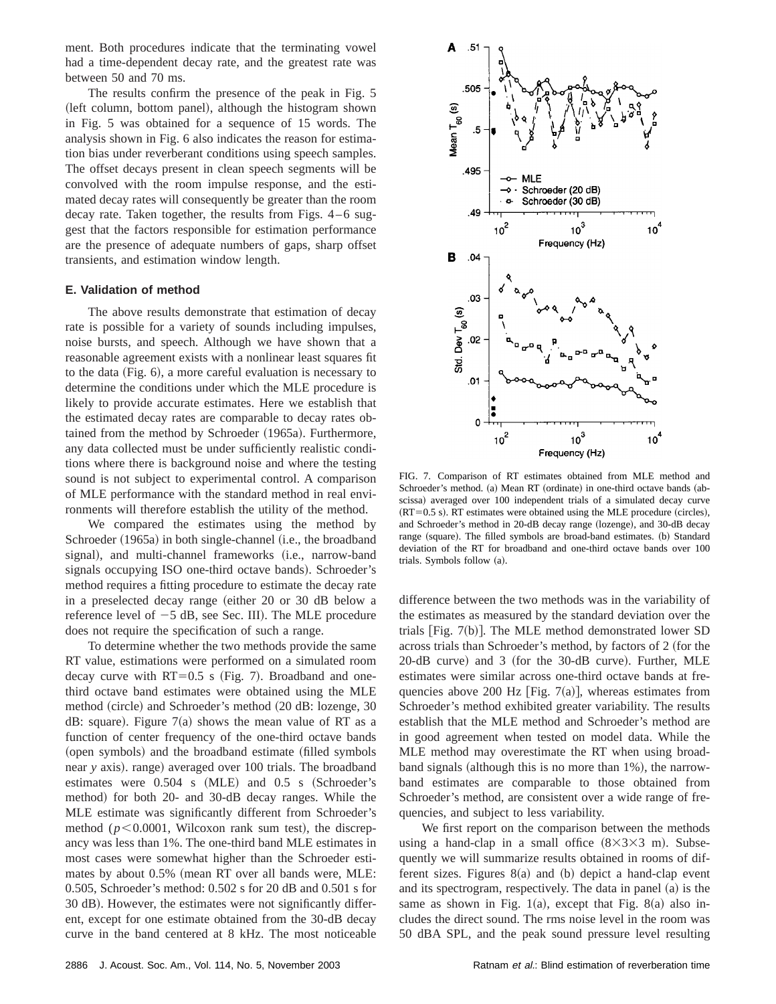ment. Both procedures indicate that the terminating vowel had a time-dependent decay rate, and the greatest rate was between 50 and 70 ms.

The results confirm the presence of the peak in Fig. 5 (left column, bottom panel), although the histogram shown in Fig. 5 was obtained for a sequence of 15 words. The analysis shown in Fig. 6 also indicates the reason for estimation bias under reverberant conditions using speech samples. The offset decays present in clean speech segments will be convolved with the room impulse response, and the estimated decay rates will consequently be greater than the room decay rate. Taken together, the results from Figs. 4–6 suggest that the factors responsible for estimation performance are the presence of adequate numbers of gaps, sharp offset transients, and estimation window length.

### **E. Validation of method**

The above results demonstrate that estimation of decay rate is possible for a variety of sounds including impulses, noise bursts, and speech. Although we have shown that a reasonable agreement exists with a nonlinear least squares fit to the data  $(Fig. 6)$ , a more careful evaluation is necessary to determine the conditions under which the MLE procedure is likely to provide accurate estimates. Here we establish that the estimated decay rates are comparable to decay rates obtained from the method by Schroeder (1965a). Furthermore, any data collected must be under sufficiently realistic conditions where there is background noise and where the testing sound is not subject to experimental control. A comparison of MLE performance with the standard method in real environments will therefore establish the utility of the method.

We compared the estimates using the method by Schroeder (1965a) in both single-channel (i.e., the broadband signal), and multi-channel frameworks (i.e., narrow-band signals occupying ISO one-third octave bands). Schroeder's method requires a fitting procedure to estimate the decay rate in a preselected decay range (either  $20$  or  $30$  dB below a reference level of  $-5$  dB, see Sec. III). The MLE procedure does not require the specification of such a range.

To determine whether the two methods provide the same RT value, estimations were performed on a simulated room decay curve with  $RT=0.5$  s (Fig. 7). Broadband and onethird octave band estimates were obtained using the MLE method (circle) and Schroeder's method (20 dB: lozenge, 30 dB: square). Figure  $7(a)$  shows the mean value of RT as a function of center frequency of the one-third octave bands (open symbols) and the broadband estimate (filled symbols near *y* axis). range) averaged over 100 trials. The broadband estimates were  $0.504$  s (MLE) and  $0.5$  s (Schroeder's method) for both 20- and 30-dB decay ranges. While the MLE estimate was significantly different from Schroeder's method ( $p$ <0.0001, Wilcoxon rank sum test), the discrepancy was less than 1%. The one-third band MLE estimates in most cases were somewhat higher than the Schroeder estimates by about  $0.5\%$  (mean RT over all bands were, MLE: 0.505, Schroeder's method: 0.502 s for 20 dB and 0.501 s for 30 dB). However, the estimates were not significantly different, except for one estimate obtained from the 30-dB decay curve in the band centered at 8 kHz. The most noticeable



FIG. 7. Comparison of RT estimates obtained from MLE method and Schroeder's method. (a) Mean RT (ordinate) in one-third octave bands (abscissa) averaged over 100 independent trials of a simulated decay curve  $(RT=0.5 \text{ s})$ . RT estimates were obtained using the MLE procedure (circles), and Schroeder's method in 20-dB decay range (lozenge), and 30-dB decay range (square). The filled symbols are broad-band estimates. (b) Standard deviation of the RT for broadband and one-third octave bands over 100 trials. Symbols follow  $(a)$ .

difference between the two methods was in the variability of the estimates as measured by the standard deviation over the trials  $|Fig. 7(b)|$ . The MLE method demonstrated lower SD across trials than Schroeder's method, by factors of 2 (for the  $20$ -dB curve) and 3 (for the 30-dB curve). Further, MLE estimates were similar across one-third octave bands at frequencies above 200 Hz [Fig. 7(a)], whereas estimates from Schroeder's method exhibited greater variability. The results establish that the MLE method and Schroeder's method are in good agreement when tested on model data. While the MLE method may overestimate the RT when using broadband signals (although this is no more than  $1\%$ ), the narrowband estimates are comparable to those obtained from Schroeder's method, are consistent over a wide range of frequencies, and subject to less variability.

We first report on the comparison between the methods using a hand-clap in a small office  $(8\times3\times3$  m). Subsequently we will summarize results obtained in rooms of different sizes. Figures  $8(a)$  and (b) depict a hand-clap event and its spectrogram, respectively. The data in panel  $(a)$  is the same as shown in Fig. 1(a), except that Fig. 8(a) also includes the direct sound. The rms noise level in the room was 50 dBA SPL, and the peak sound pressure level resulting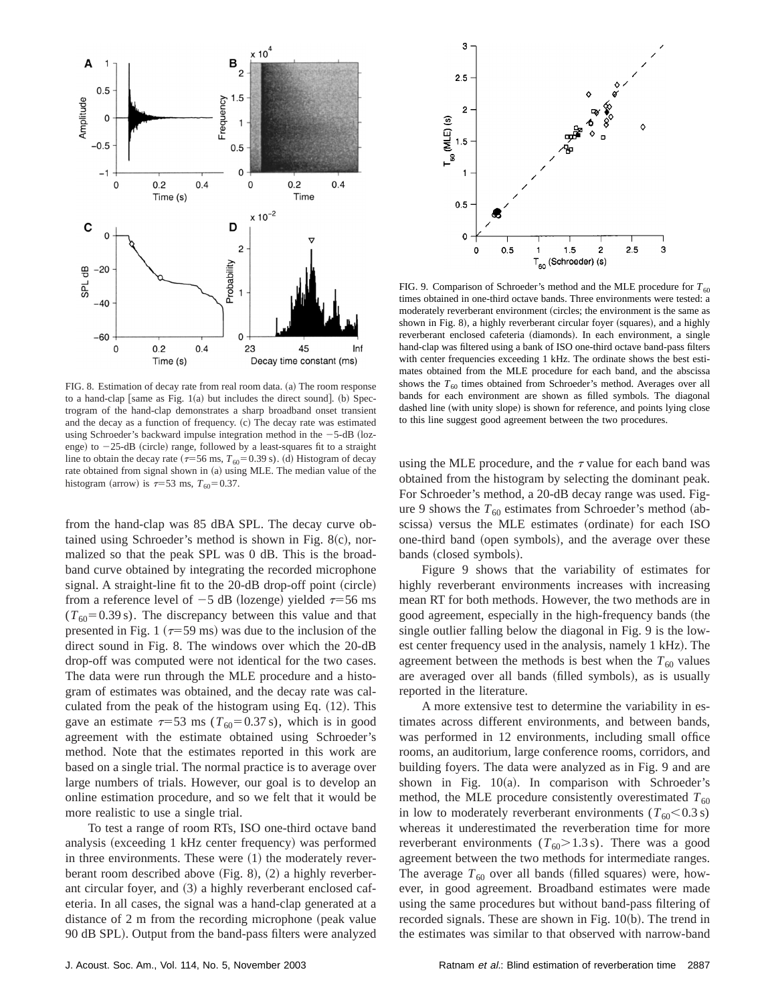

FIG. 8. Estimation of decay rate from real room data. (a) The room response to a hand-clap [same as Fig.  $1(a)$  but includes the direct sound]. (b) Spectrogram of the hand-clap demonstrates a sharp broadband onset transient and the decay as a function of frequency.  $(c)$  The decay rate was estimated using Schroeder's backward impulse integration method in the  $-5$ -dB (lozenge) to  $-25$ -dB (circle) range, followed by a least-squares fit to a straight line to obtain the decay rate  $(\tau=56 \text{ ms}, T_{60}=0.39 \text{ s})$ . (d) Histogram of decay rate obtained from signal shown in (a) using MLE. The median value of the histogram (arrow) is  $\tau=53$  ms,  $T_{60}=0.37$ .

from the hand-clap was 85 dBA SPL. The decay curve obtained using Schroeder's method is shown in Fig.  $8(c)$ , normalized so that the peak SPL was 0 dB. This is the broadband curve obtained by integrating the recorded microphone signal. A straight-line fit to the  $20$ -dB drop-off point (circle) from a reference level of  $-5$  dB (lozenge) yielded  $\tau=56$  ms  $(T_{60} = 0.39 \text{ s})$ . The discrepancy between this value and that presented in Fig. 1 ( $\tau$ =59 ms) was due to the inclusion of the direct sound in Fig. 8. The windows over which the 20-dB drop-off was computed were not identical for the two cases. The data were run through the MLE procedure and a histogram of estimates was obtained, and the decay rate was calculated from the peak of the histogram using Eq.  $(12)$ . This gave an estimate  $\tau$ =53 ms ( $T_{60}$ =0.37 s), which is in good agreement with the estimate obtained using Schroeder's method. Note that the estimates reported in this work are based on a single trial. The normal practice is to average over large numbers of trials. However, our goal is to develop an online estimation procedure, and so we felt that it would be more realistic to use a single trial.

To test a range of room RTs, ISO one-third octave band analysis (exceeding 1 kHz center frequency) was performed in three environments. These were  $(1)$  the moderately reverberant room described above  $(Fig. 8)$ ,  $(2)$  a highly reverberant circular foyer, and  $(3)$  a highly reverberant enclosed cafeteria. In all cases, the signal was a hand-clap generated at a distance of  $2 \text{ m}$  from the recording microphone (peak value 90 dB SPL). Output from the band-pass filters were analyzed



FIG. 9. Comparison of Schroeder's method and the MLE procedure for  $T_{60}$ times obtained in one-third octave bands. Three environments were tested: a moderately reverberant environment (circles; the environment is the same as shown in Fig. 8), a highly reverberant circular foyer (squares), and a highly reverberant enclosed cafeteria (diamonds). In each environment, a single hand-clap was filtered using a bank of ISO one-third octave band-pass filters with center frequencies exceeding 1 kHz. The ordinate shows the best estimates obtained from the MLE procedure for each band, and the abscissa shows the  $T_{60}$  times obtained from Schroeder's method. Averages over all bands for each environment are shown as filled symbols. The diagonal dashed line (with unity slope) is shown for reference, and points lying close to this line suggest good agreement between the two procedures.

using the MLE procedure, and the  $\tau$  value for each band was obtained from the histogram by selecting the dominant peak. For Schroeder's method, a 20-dB decay range was used. Figure 9 shows the  $T_{60}$  estimates from Schroeder's method (abscissa) versus the MLE estimates (ordinate) for each ISO one-third band (open symbols), and the average over these bands (closed symbols).

Figure 9 shows that the variability of estimates for highly reverberant environments increases with increasing mean RT for both methods. However, the two methods are in good agreement, especially in the high-frequency bands (the single outlier falling below the diagonal in Fig. 9 is the lowest center frequency used in the analysis, namely 1 kHz). The agreement between the methods is best when the  $T_{60}$  values are averaged over all bands (filled symbols), as is usually reported in the literature.

A more extensive test to determine the variability in estimates across different environments, and between bands, was performed in 12 environments, including small office rooms, an auditorium, large conference rooms, corridors, and building foyers. The data were analyzed as in Fig. 9 and are shown in Fig.  $10(a)$ . In comparison with Schroeder's method, the MLE procedure consistently overestimated  $T_{60}$ in low to moderately reverberant environments  $(T_{60} < 0.3 \text{ s})$ whereas it underestimated the reverberation time for more reverberant environments  $(T_{60} > 1.3 \text{ s})$ . There was a good agreement between the two methods for intermediate ranges. The average  $T_{60}$  over all bands (filled squares) were, however, in good agreement. Broadband estimates were made using the same procedures but without band-pass filtering of recorded signals. These are shown in Fig.  $10(b)$ . The trend in the estimates was similar to that observed with narrow-band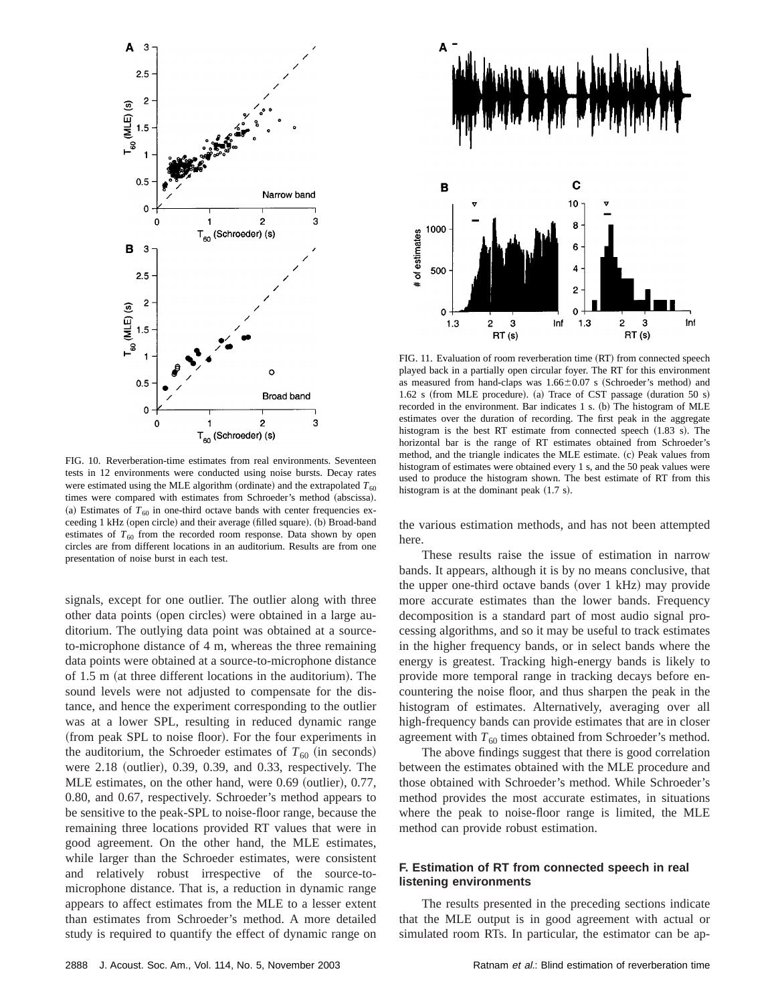

FIG. 10. Reverberation-time estimates from real environments. Seventeen tests in 12 environments were conducted using noise bursts. Decay rates were estimated using the MLE algorithm (ordinate) and the extrapolated  $T_{60}$ times were compared with estimates from Schroeder's method (abscissa). (a) Estimates of  $T_{60}$  in one-third octave bands with center frequencies exceeding 1 kHz (open circle) and their average (filled square). (b) Broad-band estimates of  $T_{60}$  from the recorded room response. Data shown by open circles are from different locations in an auditorium. Results are from one presentation of noise burst in each test.

signals, except for one outlier. The outlier along with three other data points (open circles) were obtained in a large auditorium. The outlying data point was obtained at a sourceto-microphone distance of 4 m, whereas the three remaining data points were obtained at a source-to-microphone distance of  $1.5$  m (at three different locations in the auditorium). The sound levels were not adjusted to compensate for the distance, and hence the experiment corresponding to the outlier was at a lower SPL, resulting in reduced dynamic range (from peak SPL to noise floor). For the four experiments in the auditorium, the Schroeder estimates of  $T_{60}$  (in seconds) were  $2.18$  (outlier), 0.39, 0.39, and 0.33, respectively. The MLE estimates, on the other hand, were  $0.69$  (outlier),  $0.77$ , 0.80, and 0.67, respectively. Schroeder's method appears to be sensitive to the peak-SPL to noise-floor range, because the remaining three locations provided RT values that were in good agreement. On the other hand, the MLE estimates, while larger than the Schroeder estimates, were consistent and relatively robust irrespective of the source-tomicrophone distance. That is, a reduction in dynamic range appears to affect estimates from the MLE to a lesser extent than estimates from Schroeder's method. A more detailed study is required to quantify the effect of dynamic range on



FIG. 11. Evaluation of room reverberation time (RT) from connected speech played back in a partially open circular foyer. The RT for this environment as measured from hand-claps was  $1.66 \pm 0.07$  s (Schroeder's method) and  $1.62$  s (from MLE procedure). (a) Trace of CST passage (duration 50 s) recorded in the environment. Bar indicates  $1 \text{ s}$ . (b) The histogram of MLE estimates over the duration of recording. The first peak in the aggregate histogram is the best RT estimate from connected speech  $(1.83 \text{ s})$ . The horizontal bar is the range of RT estimates obtained from Schroeder's method, and the triangle indicates the MLE estimate. (c) Peak values from histogram of estimates were obtained every 1 s, and the 50 peak values were used to produce the histogram shown. The best estimate of RT from this histogram is at the dominant peak  $(1.7 \text{ s})$ .

the various estimation methods, and has not been attempted here.

These results raise the issue of estimation in narrow bands. It appears, although it is by no means conclusive, that the upper one-third octave bands (over 1 kHz) may provide more accurate estimates than the lower bands. Frequency decomposition is a standard part of most audio signal processing algorithms, and so it may be useful to track estimates in the higher frequency bands, or in select bands where the energy is greatest. Tracking high-energy bands is likely to provide more temporal range in tracking decays before encountering the noise floor, and thus sharpen the peak in the histogram of estimates. Alternatively, averaging over all high-frequency bands can provide estimates that are in closer agreement with  $T_{60}$  times obtained from Schroeder's method.

The above findings suggest that there is good correlation between the estimates obtained with the MLE procedure and those obtained with Schroeder's method. While Schroeder's method provides the most accurate estimates, in situations where the peak to noise-floor range is limited, the MLE method can provide robust estimation.

## **F. Estimation of RT from connected speech in real listening environments**

The results presented in the preceding sections indicate that the MLE output is in good agreement with actual or simulated room RTs. In particular, the estimator can be ap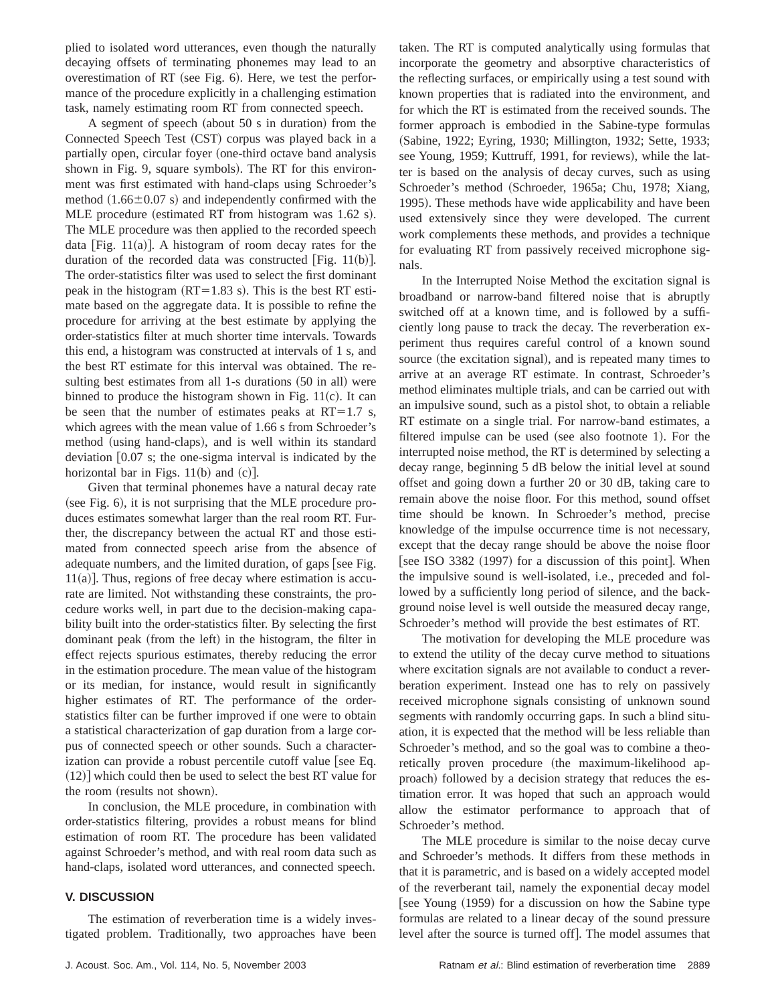plied to isolated word utterances, even though the naturally decaying offsets of terminating phonemes may lead to an overestimation of RT (see Fig.  $6$ ). Here, we test the performance of the procedure explicitly in a challenging estimation task, namely estimating room RT from connected speech.

A segment of speech (about  $50 s$  in duration) from the Connected Speech Test (CST) corpus was played back in a partially open, circular foyer (one-third octave band analysis shown in Fig. 9, square symbols). The RT for this environment was first estimated with hand-claps using Schroeder's method  $(1.66\pm0.07 \text{ s})$  and independently confirmed with the MLE procedure (estimated RT from histogram was  $1.62$  s). The MLE procedure was then applied to the recorded speech data [Fig.  $11(a)$ ]. A histogram of room decay rates for the duration of the recorded data was constructed [Fig. 11(b)]. The order-statistics filter was used to select the first dominant peak in the histogram  $(RT=1.83 \text{ s})$ . This is the best RT estimate based on the aggregate data. It is possible to refine the procedure for arriving at the best estimate by applying the order-statistics filter at much shorter time intervals. Towards this end, a histogram was constructed at intervals of 1 s, and the best RT estimate for this interval was obtained. The resulting best estimates from all 1-s durations (50 in all) were binned to produce the histogram shown in Fig.  $11(c)$ . It can be seen that the number of estimates peaks at  $RT=1.7$  s, which agrees with the mean value of 1.66 s from Schroeder's method (using hand-claps), and is well within its standard deviation  $[0.07 \text{ s};$  the one-sigma interval is indicated by the horizontal bar in Figs.  $11(b)$  and  $(c)$ ].

Given that terminal phonemes have a natural decay rate  $(see Fig. 6)$ , it is not surprising that the MLE procedure produces estimates somewhat larger than the real room RT. Further, the discrepancy between the actual RT and those estimated from connected speech arise from the absence of adequate numbers, and the limited duration, of gaps [see Fig.  $11(a)$ ]. Thus, regions of free decay where estimation is accurate are limited. Not withstanding these constraints, the procedure works well, in part due to the decision-making capability built into the order-statistics filter. By selecting the first dominant peak (from the left) in the histogram, the filter in effect rejects spurious estimates, thereby reducing the error in the estimation procedure. The mean value of the histogram or its median, for instance, would result in significantly higher estimates of RT. The performance of the orderstatistics filter can be further improved if one were to obtain a statistical characterization of gap duration from a large corpus of connected speech or other sounds. Such a characterization can provide a robust percentile cutoff value [see Eq.  $(12)$  which could then be used to select the best RT value for the room (results not shown).

In conclusion, the MLE procedure, in combination with order-statistics filtering, provides a robust means for blind estimation of room RT. The procedure has been validated against Schroeder's method, and with real room data such as hand-claps, isolated word utterances, and connected speech.

## **V. DISCUSSION**

The estimation of reverberation time is a widely investigated problem. Traditionally, two approaches have been taken. The RT is computed analytically using formulas that incorporate the geometry and absorptive characteristics of the reflecting surfaces, or empirically using a test sound with known properties that is radiated into the environment, and for which the RT is estimated from the received sounds. The former approach is embodied in the Sabine-type formulas (Sabine, 1922; Eyring, 1930; Millington, 1932; Sette, 1933; see Young, 1959; Kuttruff, 1991, for reviews), while the latter is based on the analysis of decay curves, such as using Schroeder's method (Schroeder, 1965a; Chu, 1978; Xiang, 1995). These methods have wide applicability and have been used extensively since they were developed. The current work complements these methods, and provides a technique for evaluating RT from passively received microphone signals.

In the Interrupted Noise Method the excitation signal is broadband or narrow-band filtered noise that is abruptly switched off at a known time, and is followed by a sufficiently long pause to track the decay. The reverberation experiment thus requires careful control of a known sound source (the excitation signal), and is repeated many times to arrive at an average RT estimate. In contrast, Schroeder's method eliminates multiple trials, and can be carried out with an impulsive sound, such as a pistol shot, to obtain a reliable RT estimate on a single trial. For narrow-band estimates, a filtered impulse can be used (see also footnote 1). For the interrupted noise method, the RT is determined by selecting a decay range, beginning 5 dB below the initial level at sound offset and going down a further 20 or 30 dB, taking care to remain above the noise floor. For this method, sound offset time should be known. In Schroeder's method, precise knowledge of the impulse occurrence time is not necessary, except that the decay range should be above the noise floor [see ISO 3382  $(1997)$  for a discussion of this point]. When the impulsive sound is well-isolated, i.e., preceded and followed by a sufficiently long period of silence, and the background noise level is well outside the measured decay range, Schroeder's method will provide the best estimates of RT.

The motivation for developing the MLE procedure was to extend the utility of the decay curve method to situations where excitation signals are not available to conduct a reverberation experiment. Instead one has to rely on passively received microphone signals consisting of unknown sound segments with randomly occurring gaps. In such a blind situation, it is expected that the method will be less reliable than Schroeder's method, and so the goal was to combine a theoretically proven procedure (the maximum-likelihood approach) followed by a decision strategy that reduces the estimation error. It was hoped that such an approach would allow the estimator performance to approach that of Schroeder's method.

The MLE procedure is similar to the noise decay curve and Schroeder's methods. It differs from these methods in that it is parametric, and is based on a widely accepted model of the reverberant tail, namely the exponential decay model [see Young (1959) for a discussion on how the Sabine type formulas are related to a linear decay of the sound pressure level after the source is turned off]. The model assumes that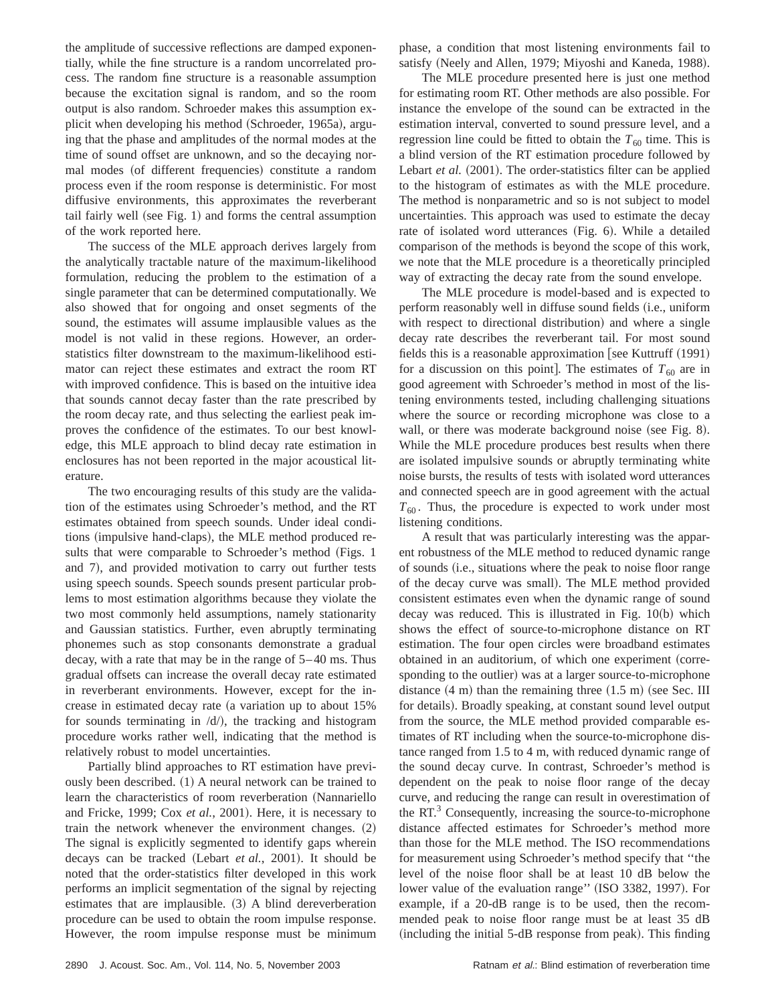the amplitude of successive reflections are damped exponentially, while the fine structure is a random uncorrelated process. The random fine structure is a reasonable assumption because the excitation signal is random, and so the room output is also random. Schroeder makes this assumption explicit when developing his method (Schroeder, 1965a), arguing that the phase and amplitudes of the normal modes at the time of sound offset are unknown, and so the decaying normal modes (of different frequencies) constitute a random process even if the room response is deterministic. For most diffusive environments, this approximates the reverberant tail fairly well (see Fig. 1) and forms the central assumption of the work reported here.

The success of the MLE approach derives largely from the analytically tractable nature of the maximum-likelihood formulation, reducing the problem to the estimation of a single parameter that can be determined computationally. We also showed that for ongoing and onset segments of the sound, the estimates will assume implausible values as the model is not valid in these regions. However, an orderstatistics filter downstream to the maximum-likelihood estimator can reject these estimates and extract the room RT with improved confidence. This is based on the intuitive idea that sounds cannot decay faster than the rate prescribed by the room decay rate, and thus selecting the earliest peak improves the confidence of the estimates. To our best knowledge, this MLE approach to blind decay rate estimation in enclosures has not been reported in the major acoustical literature.

The two encouraging results of this study are the validation of the estimates using Schroeder's method, and the RT estimates obtained from speech sounds. Under ideal conditions (impulsive hand-claps), the MLE method produced results that were comparable to Schroeder's method (Figs. 1) and 7), and provided motivation to carry out further tests using speech sounds. Speech sounds present particular problems to most estimation algorithms because they violate the two most commonly held assumptions, namely stationarity and Gaussian statistics. Further, even abruptly terminating phonemes such as stop consonants demonstrate a gradual decay, with a rate that may be in the range of 5–40 ms. Thus gradual offsets can increase the overall decay rate estimated in reverberant environments. However, except for the increase in estimated decay rate (a variation up to about  $15%$ for sounds terminating in  $\langle d \rangle$ , the tracking and histogram procedure works rather well, indicating that the method is relatively robust to model uncertainties.

Partially blind approaches to RT estimation have previously been described.  $(1)$  A neural network can be trained to learn the characteristics of room reverberation (Nannariello) and Fricke, 1999; Cox *et al.*, 2001). Here, it is necessary to train the network whenever the environment changes.  $(2)$ The signal is explicitly segmented to identify gaps wherein decays can be tracked (Lebart *et al.*, 2001). It should be noted that the order-statistics filter developed in this work performs an implicit segmentation of the signal by rejecting estimates that are implausible.  $(3)$  A blind dereverberation procedure can be used to obtain the room impulse response. However, the room impulse response must be minimum phase, a condition that most listening environments fail to satisfy (Neely and Allen, 1979; Miyoshi and Kaneda, 1988).

The MLE procedure presented here is just one method for estimating room RT. Other methods are also possible. For instance the envelope of the sound can be extracted in the estimation interval, converted to sound pressure level, and a regression line could be fitted to obtain the  $T_{60}$  time. This is a blind version of the RT estimation procedure followed by Lebart *et al.* (2001). The order-statistics filter can be applied to the histogram of estimates as with the MLE procedure. The method is nonparametric and so is not subject to model uncertainties. This approach was used to estimate the decay rate of isolated word utterances (Fig. 6). While a detailed comparison of the methods is beyond the scope of this work, we note that the MLE procedure is a theoretically principled way of extracting the decay rate from the sound envelope.

The MLE procedure is model-based and is expected to perform reasonably well in diffuse sound fields (i.e., uniform with respect to directional distribution) and where a single decay rate describes the reverberant tail. For most sound fields this is a reasonable approximation [see Kuttruff  $(1991)$ ] for a discussion on this point]. The estimates of  $T_{60}$  are in good agreement with Schroeder's method in most of the listening environments tested, including challenging situations where the source or recording microphone was close to a wall, or there was moderate background noise (see Fig. 8). While the MLE procedure produces best results when there are isolated impulsive sounds or abruptly terminating white noise bursts, the results of tests with isolated word utterances and connected speech are in good agreement with the actual  $T_{60}$ . Thus, the procedure is expected to work under most listening conditions.

A result that was particularly interesting was the apparent robustness of the MLE method to reduced dynamic range of sounds (i.e., situations where the peak to noise floor range of the decay curve was small). The MLE method provided consistent estimates even when the dynamic range of sound decay was reduced. This is illustrated in Fig.  $10(b)$  which shows the effect of source-to-microphone distance on RT estimation. The four open circles were broadband estimates obtained in an auditorium, of which one experiment (corresponding to the outlier) was at a larger source-to-microphone distance  $(4 \text{ m})$  than the remaining three  $(1.5 \text{ m})$  (see Sec. III for details). Broadly speaking, at constant sound level output from the source, the MLE method provided comparable estimates of RT including when the source-to-microphone distance ranged from 1.5 to 4 m, with reduced dynamic range of the sound decay curve. In contrast, Schroeder's method is dependent on the peak to noise floor range of the decay curve, and reducing the range can result in overestimation of the  $RT<sup>3</sup>$  Consequently, increasing the source-to-microphone distance affected estimates for Schroeder's method more than those for the MLE method. The ISO recommendations for measurement using Schroeder's method specify that ''the level of the noise floor shall be at least 10 dB below the lower value of the evaluation range" (ISO 3382, 1997). For example, if a 20-dB range is to be used, then the recommended peak to noise floor range must be at least 35 dB  $(including the initial 5-dB response from peak).$  This finding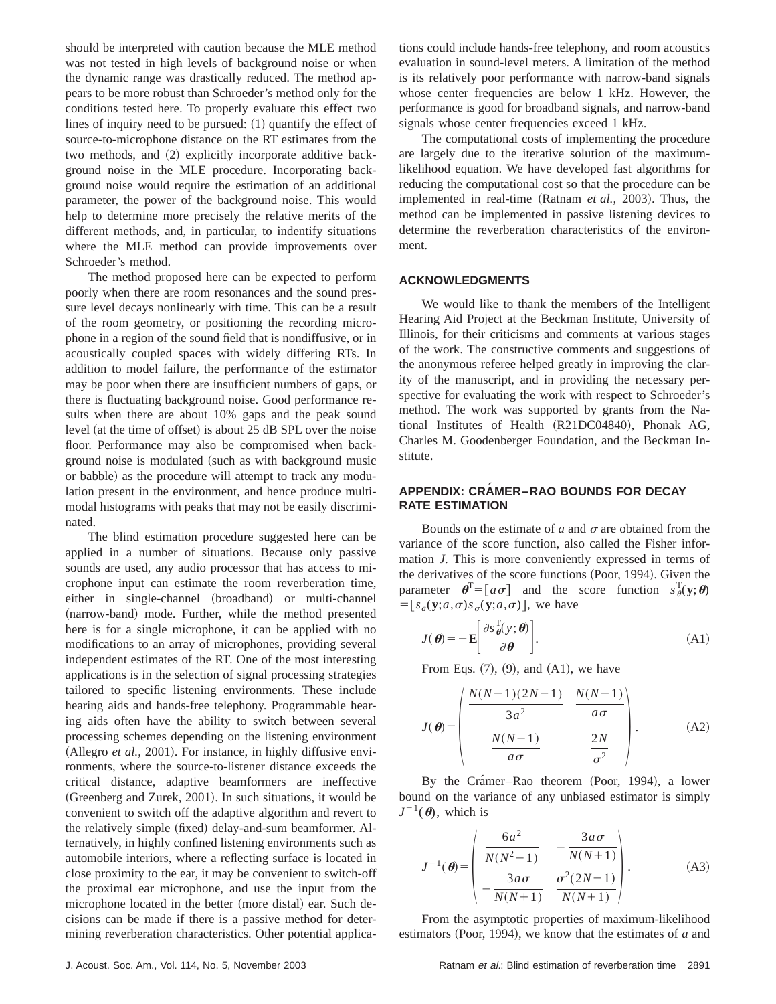should be interpreted with caution because the MLE method was not tested in high levels of background noise or when the dynamic range was drastically reduced. The method appears to be more robust than Schroeder's method only for the conditions tested here. To properly evaluate this effect two lines of inquiry need to be pursued:  $(1)$  quantify the effect of source-to-microphone distance on the RT estimates from the two methods, and (2) explicitly incorporate additive background noise in the MLE procedure. Incorporating background noise would require the estimation of an additional parameter, the power of the background noise. This would help to determine more precisely the relative merits of the different methods, and, in particular, to indentify situations where the MLE method can provide improvements over Schroeder's method.

The method proposed here can be expected to perform poorly when there are room resonances and the sound pressure level decays nonlinearly with time. This can be a result of the room geometry, or positioning the recording microphone in a region of the sound field that is nondiffusive, or in acoustically coupled spaces with widely differing RTs. In addition to model failure, the performance of the estimator may be poor when there are insufficient numbers of gaps, or there is fluctuating background noise. Good performance results when there are about 10% gaps and the peak sound level (at the time of offset) is about 25 dB SPL over the noise floor. Performance may also be compromised when background noise is modulated (such as with background music or babble) as the procedure will attempt to track any modulation present in the environment, and hence produce multimodal histograms with peaks that may not be easily discriminated.

The blind estimation procedure suggested here can be applied in a number of situations. Because only passive sounds are used, any audio processor that has access to microphone input can estimate the room reverberation time, either in single-channel (broadband) or multi-channel (narrow-band) mode. Further, while the method presented here is for a single microphone, it can be applied with no modifications to an array of microphones, providing several independent estimates of the RT. One of the most interesting applications is in the selection of signal processing strategies tailored to specific listening environments. These include hearing aids and hands-free telephony. Programmable hearing aids often have the ability to switch between several processing schemes depending on the listening environment (Allegro *et al.*, 2001). For instance, in highly diffusive environments, where the source-to-listener distance exceeds the critical distance, adaptive beamformers are ineffective (Greenberg and Zurek, 2001). In such situations, it would be convenient to switch off the adaptive algorithm and revert to the relatively simple (fixed) delay-and-sum beamformer. Alternatively, in highly confined listening environments such as automobile interiors, where a reflecting surface is located in close proximity to the ear, it may be convenient to switch-off the proximal ear microphone, and use the input from the microphone located in the better (more distal) ear. Such decisions can be made if there is a passive method for determining reverberation characteristics. Other potential applications could include hands-free telephony, and room acoustics evaluation in sound-level meters. A limitation of the method is its relatively poor performance with narrow-band signals whose center frequencies are below 1 kHz. However, the performance is good for broadband signals, and narrow-band signals whose center frequencies exceed 1 kHz.

The computational costs of implementing the procedure are largely due to the iterative solution of the maximumlikelihood equation. We have developed fast algorithms for reducing the computational cost so that the procedure can be implemented in real-time (Ratnam *et al.*, 2003). Thus, the method can be implemented in passive listening devices to determine the reverberation characteristics of the environment.

## **ACKNOWLEDGMENTS**

We would like to thank the members of the Intelligent Hearing Aid Project at the Beckman Institute, University of Illinois, for their criticisms and comments at various stages of the work. The constructive comments and suggestions of the anonymous referee helped greatly in improving the clarity of the manuscript, and in providing the necessary perspective for evaluating the work with respect to Schroeder's method. The work was supported by grants from the National Institutes of Health (R21DC04840), Phonak AG, Charles M. Goodenberger Foundation, and the Beckman Institute.

## **APPENDIX: CRAMER–RAO BOUNDS FOR DECAY RATE ESTIMATION**

Bounds on the estimate of  $a$  and  $\sigma$  are obtained from the variance of the score function, also called the Fisher information *J*. This is more conveniently expressed in terms of the derivatives of the score functions (Poor, 1994). Given the parameter  $\boldsymbol{\theta}^{\text{T}} = [a \sigma]$  and the score function  $s_{\theta}^{\text{T}}(\mathbf{y};\boldsymbol{\theta})$  $=[s_a(\mathbf{y}; a, \sigma)s_{\sigma}(\mathbf{y}; a, \sigma)],$  we have

$$
J(\boldsymbol{\theta}) = -\mathbf{E} \left[ \frac{\partial s \, \boldsymbol{\theta}(\mathbf{y}; \boldsymbol{\theta})}{\partial \boldsymbol{\theta}} \right]. \tag{A1}
$$

From Eqs.  $(7)$ ,  $(9)$ , and  $(A1)$ , we have

$$
J(\theta) = \begin{pmatrix} \frac{N(N-1)(2N-1)}{3a^2} & \frac{N(N-1)}{a\sigma} \\ \frac{N(N-1)}{a\sigma} & \frac{2N}{\sigma^2} \end{pmatrix} .
$$
 (A2)

By the Crámer–Rao theorem (Poor, 1994), a lower bound on the variance of any unbiased estimator is simply  $J^{-1}(\boldsymbol{\theta})$ , which is

$$
J^{-1}(\boldsymbol{\theta}) = \begin{pmatrix} 6a^2 & -\frac{3a\sigma}{N(N+1)} \\ \frac{3a\sigma}{N(N+1)} & \frac{\sigma^2(2N-1)}{N(N+1)} \end{pmatrix} .
$$
 (A3)

From the asymptotic properties of maximum-likelihood estimators (Poor, 1994), we know that the estimates of  $a$  and